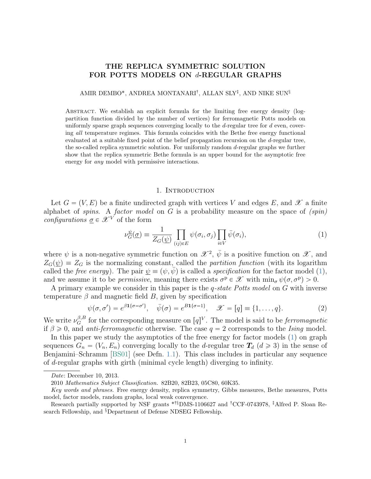# THE REPLICA SYMMETRIC SOLUTION FOR POTTS MODELS ON *d*-REGULAR GRAPHS

### AMIR DEMBO\*, ANDREA MONTANARI<sup>†</sup>, ALLAN SLY<sup>‡</sup>, AND NIKE SUN<sup>§</sup>

Abstract. We establish an explicit formula for the limiting free energy density (logpartition function divided by the number of vertices) for ferromagnetic Potts models on uniformly sparse graph sequences converging locally to the  $d$ -regular tree for  $d$  even, covering all temperature regimes. This formula coincides with the Bethe free energy functional evaluated at a suitable fixed point of the belief propagation recursion on the d-regular tree, the so-called replica symmetric solution. For uniformly random d-regular graphs we further show that the replica symmetric Bethe formula is an upper bound for the asymptotic free energy for any model with permissive interactions.

#### 1. Introduction

Let  $G = (V, E)$  be a finite undirected graph with vertices V and edges E, and X a finite alphabet of spins. A factor model on  $G$  is a probability measure on the space of  $(spin)$ configurations  $\sigma \in \mathscr{X}^V$  of the form

<span id="page-0-0"></span>
$$
\nu_{G}^{\psi}(\underline{\sigma}) \equiv \frac{1}{Z_{G}(\psi)} \prod_{(ij)\in E} \psi(\sigma_{i}, \sigma_{j}) \prod_{i \in V} \bar{\psi}(\sigma_{i}), \qquad (1)
$$

where  $\psi$  is a non-negative symmetric function on  $\mathscr{X}^2$ ,  $\bar{\psi}$  is a positive function on  $\mathscr{X}$ , and  $Z_{\mathcal{G}}(\psi) \equiv Z_{\mathcal{G}}$  is the normalizing constant, called the partition function (with its logarithm called the *free energy*). The pair  $\underline{\psi} \equiv (\psi, \overline{\psi})$  is called a specification for the factor model [\(1\)](#page-0-0), and we assume it to be *permissive*, meaning there exists  $\sigma^p \in \mathscr{X}$  with  $\min_{\sigma} \psi(\sigma, \sigma^p) > 0$ .

A primary example we consider in this paper is the q-state Potts model on G with inverse temperature  $\beta$  and magnetic field B, given by specification

<span id="page-0-1"></span>
$$
\psi(\sigma,\sigma') = e^{\beta \mathbf{1}\{\sigma=\sigma'\}}, \quad \bar{\psi}(\sigma) = e^{\beta \mathbf{1}\{\sigma=1\}}, \quad \mathscr{X} = [q] \equiv \{1,\ldots,q\}. \tag{2}
$$

We write  $\nu_G^{\beta,B}$  for the corresponding measure on  $[q]^V$ . The model is said to be *ferromagnetic* if  $\beta \geq 0$ , and *anti-ferromagnetic* otherwise. The case  $q = 2$  corresponds to the *Ising* model.

In this paper we study the asymptotics of the free energy for factor models [\(1\)](#page-0-0) on graph sequences  $G_n = (V_n, E_n)$  converging locally to the d-regular tree  $T_d$  ( $d \ge 3$ ) in the sense of Benjamini–Schramm [\[BS01\]](#page-21-0) (see Defn. [1.1\)](#page-3-0). This class includes in particular any sequence of d-regular graphs with girth (minimal cycle length) diverging to infinity.

Date: December 10, 2013.

<sup>2010</sup> Mathematics Subject Classification. 82B20, 82B23, 05C80, 60K35.

Key words and phrases. Free energy density, replica symmetry, Gibbs measures, Bethe measures, Potts model, factor models, random graphs, local weak convergence.

Research partially supported by NSF grants \*<sup>†§</sup>DMS-1106627 and <sup>†</sup>CCF-0743978, <sup>‡</sup>Alfred P. Sloan Research Fellowship, and <sup>§</sup>Department of Defense NDSEG Fellowship.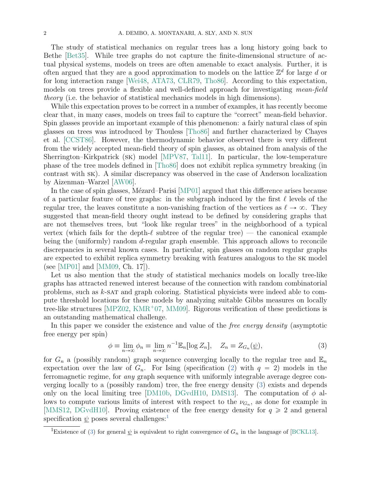The study of statistical mechanics on regular trees has a long history going back to Bethe [\[Bet35\]](#page-21-1). While tree graphs do not capture the finite-dimensional structure of actual physical systems, models on trees are often amenable to exact analysis. Further, it is often argued that they are a good approximation to models on the lattice  $\mathbb{Z}^d$  for large d or for long interaction range [\[Wei48,](#page-22-0) [ATA73,](#page-21-2) [CLR79,](#page-21-3) [Tho86\]](#page-22-1). According to this expectation, models on trees provide a flexible and well-defined approach for investigating *mean-field* theory (i.e. the behavior of statistical mechanics models in high dimensions).

While this expectation proves to be correct in a number of examples, it has recently become clear that, in many cases, models on trees fail to capture the "correct" mean-field behavior. Spin glasses provide an important example of this phenomenon: a fairly natural class of spin glasses on trees was introduced by Thouless [\[Tho86\]](#page-22-1) and further characterized by Chayes et al. [\[CCST86\]](#page-21-4). However, the thermodynamic behavior observed there is very different from the widely accepted mean-field theory of spin glasses, as obtained from analysis of the Sherrington–Kirkpatrick (sk) model [\[MPV87,](#page-22-2) [Tal11\]](#page-22-3). In particular, the low-temperature phase of the tree models defined in [\[Tho86\]](#page-22-1) does not exhibit replica symmetry breaking (in contrast with sk). A similar discrepancy was observed in the case of Anderson localization by Aizenman–Warzel [\[AW06\]](#page-21-5).

In the case of spin glasses, Mézard–Parisi [\[MP01\]](#page-22-4) argued that this difference arises because of a particular feature of tree graphs: in the subgraph induced by the first  $\ell$  levels of the regular tree, the leaves constitute a non-vanishing fraction of the vertices as  $\ell \to \infty$ . They suggested that mean-field theory ought instead to be defined by considering graphs that are not themselves trees, but "look like regular trees" in the neighborhood of a typical vertex (which fails for the depth- $\ell$  subtree of the regular tree) — the canonical example being the (uniformly) random d-regular graph ensemble. This approach allows to reconcile discrepancies in several known cases. In particular, spin glasses on random regular graphs are expected to exhibit replica symmetry breaking with features analogous to the sk model (see [\[MP01\]](#page-22-4) and [\[MM09,](#page-22-5) Ch. 17]).

Let us also mention that the study of statistical mechanics models on locally tree-like graphs has attracted renewed interest because of the connection with random combinatorial problems, such as  $k$ -sat and graph coloring. Statistical physicists were indeed able to compute threshold locations for these models by analyzing suitable Gibbs measures on locally tree-like structures  $[MPZ02, KMR<sup>+</sup>07, MM09]$  $[MPZ02, KMR<sup>+</sup>07, MM09]$  $[MPZ02, KMR<sup>+</sup>07, MM09]$  $[MPZ02, KMR<sup>+</sup>07, MM09]$  $[MPZ02, KMR<sup>+</sup>07, MM09]$ . Rigorous verification of these predictions is an outstanding mathematical challenge.

In this paper we consider the existence and value of the *free energy density* (asymptotic free energy per spin)

<span id="page-1-0"></span>
$$
\phi \equiv \lim_{n \to \infty} \phi_n \equiv \lim_{n \to \infty} n^{-1} \mathbb{E}_n[\log Z_n], \quad Z_n \equiv Z_{G_n}(\underline{\psi}), \tag{3}
$$

for  $G_n$  a (possibly random) graph sequence converging locally to the regular tree and  $\mathbb{E}_n$ expectation over the law of  $G_n$ . For Ising (specification [\(2\)](#page-0-1) with  $q = 2$ ) models in the ferromagnetic regime, for any graph sequence with uniformly integrable average degree converging locally to a (possibly random) tree, the free energy density [\(3\)](#page-1-0) exists and depends only on the local limiting tree [\[DM10b,](#page-21-6) [DGvdH10,](#page-21-7) [DMS13\]](#page-22-8). The computation of  $\phi$  allows to compute various limits of interest with respect to the  $\nu_{G_n}$ , as done for example in [\[MMS12,](#page-22-9) [DGvdH10\]](#page-21-7). Proving existence of the free energy density for  $q \ge 2$  and general specification  $\psi$  poses several challenges:<sup>[1](#page-1-1)</sup>

<span id="page-1-1"></span><sup>&</sup>lt;sup>1</sup>Existence of [\(3\)](#page-1-0) for general  $\psi$  is equivalent to right convergence of  $G_n$  in the language of [\[BCKL13\]](#page-21-8).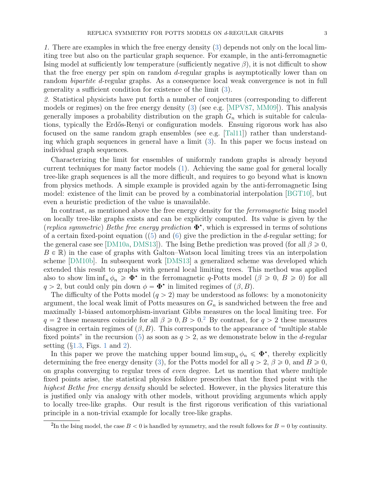1. There are examples in which the free energy density [\(3\)](#page-1-0) depends not only on the local limiting tree but also on the particular graph sequence. For example, in the anti-ferromagnetic Ising model at sufficiently low temperature (sufficiently negative  $\beta$ ), it is not difficult to show that the free energy per spin on random d-regular graphs is asymptotically lower than on random bipartite d-regular graphs. As a consequence local weak convergence is not in full generality a sufficient condition for existence of the limit [\(3\)](#page-1-0).

2. Statistical physicists have put forth a number of conjectures (corresponding to different models or regimes) on the free energy density [\(3\)](#page-1-0) (see e.g. [\[MPV87,](#page-22-2) [MM09\]](#page-22-5)). This analysis generally imposes a probability distribution on the graph  $G_n$  which is suitable for calculations, typically the Erdős-Renyi or configuration models. Ensuing rigorous work has also focused on the same random graph ensembles (see e.g. [\[Tal11\]](#page-22-3)) rather than understanding which graph sequences in general have a limit [\(3\)](#page-1-0). In this paper we focus instead on individual graph sequences.

Characterizing the limit for ensembles of uniformly random graphs is already beyond current techniques for many factor models [\(1\)](#page-0-0). Achieving the same goal for general locally tree-like graph sequences is all the more difficult, and requires to go beyond what is known from physics methods. A simple example is provided again by the anti-ferromagnetic Ising model: existence of the limit can be proved by a combinatorial interpolation [\[BGT10\]](#page-21-9), but even a heuristic prediction of the value is unavailable.

In contrast, as mentioned above the free energy density for the *ferromagnetic* Ising model on locally tree-like graphs exists and can be explicitly computed. Its value is given by the (replica symmetric) Bethe free energy prediction  $\Phi^*$ , which is expressed in terms of solutions of a certain fixed-point equation  $(5)$  and  $(6)$  give the prediction in the d-regular setting; for the general case see [\[DM10a,](#page-21-10) [DMS13\]](#page-22-8)). The Ising Bethe prediction was proved (for all  $\beta \geqslant 0$ ,  $B \in \mathbb{R}$ ) in the case of graphs with Galton–Watson local limiting trees via an interpolation scheme [\[DM10b\]](#page-21-6). In subsequent work [\[DMS13\]](#page-22-8) a generalized scheme was developed which extended this result to graphs with general local limiting trees. This method was applied also to show  $\liminf_n \phi_n \geq \Phi^*$  in the ferromagnetic q-Potts model  $(\beta \geq 0, B \geq 0)$  for all  $q > 2$ , but could only pin down  $\phi = \mathbf{\Phi}^*$  in limited regimes of  $(\beta, B)$ .

The difficulty of the Potts model  $(q > 2)$  may be understood as follows: by a monotonicity argument, the local weak limit of Potts measures on  $G_n$  is sandwiched between the free and maximally 1-biased automorphism-invariant Gibbs measures on the local limiting tree. For  $q = 2$  $q = 2$  these measures coincide for all  $\beta \geqslant 0, B > 0$ .<sup>2</sup> By contrast, for  $q > 2$  these measures disagree in certain regimes of  $(\beta, B)$ . This corresponds to the appearance of "multiple stable" fixed points" in the recursion [\(5\)](#page-4-0) as soon as  $q > 2$ , as we demonstrate below in the d-regular setting  $(\S1.3, \text{Figs. 1 and } 2)$  $(\S1.3, \text{Figs. 1 and } 2)$  $(\S1.3, \text{Figs. 1 and } 2)$  $(\S1.3, \text{Figs. 1 and } 2)$  $(\S1.3, \text{Figs. 1 and } 2)$  $(\S1.3, \text{Figs. 1 and } 2)$ .

In this paper we prove the matching upper bound  $\limsup_n \phi_n \leq \Phi^*$ , thereby explicitly determining the free energy density [\(3\)](#page-1-0), for the Potts model for all  $q > 2$ ,  $\beta \ge 0$ , and  $B \ge 0$ , on graphs converging to regular trees of even degree. Let us mention that where multiple fixed points arise, the statistical physics folklore prescribes that the fixed point with the highest Bethe free energy density should be selected. However, in the physics literature this is justified only via analogy with other models, without providing arguments which apply to locally tree-like graphs. Our result is the first rigorous verification of this variational principle in a non-trivial example for locally tree-like graphs.

<span id="page-2-0"></span><sup>&</sup>lt;sup>2</sup>In the Ising model, the case  $B < 0$  is handled by symmetry, and the result follows for  $B = 0$  by continuity.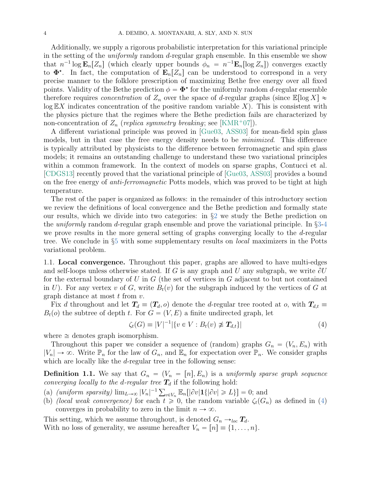Additionally, we supply a rigorous probabilistic interpretation for this variational principle in the setting of the uniformly random d-regular graph ensemble. In this ensemble we show that  $n^{-1} \log \mathbf{E}_n[Z_n]$  (which clearly upper bounds  $\phi_n = n^{-1} \mathbf{E}_n[\log Z_n]$ ) converges exactly to  $\Phi^*$ . In fact, the computation of  $\mathbf{E}_n[Z_n]$  can be understood to correspond in a very precise manner to the folklore prescription of maximizing Bethe free energy over all fixed points. Validity of the Bethe prediction  $\phi = \mathbf{\Phi}^*$  for the uniformly random d-regular ensemble therefore requires *concentration* of  $Z_n$  over the space of d-regular graphs (since  $\mathbb{E}[\log X] \approx$  $\log$  EX indicates concentration of the positive random variable X). This is consistent with the physics picture that the regimes where the Bethe prediction fails are characterized by non-concentration of  $Z_n$  (replica symmetry breaking; see [\[KMR](#page-22-7)<sup>+</sup>07]).

A different variational principle was proved in [\[Gue03,](#page-22-10) [ASS03\]](#page-21-11) for mean-field spin glass models, but in that case the free energy density needs to be *minimized*. This difference is typically attributed by physicists to the difference between ferromagnetic and spin glass models; it remains an outstanding challenge to understand these two variational principles within a common framework. In the context of models on sparse graphs, Contucci et al. [\[CDGS13\]](#page-21-12) recently proved that the variational principle of [\[Gue03,](#page-22-10) [ASS03\]](#page-21-11) provides a bound on the free energy of anti-ferromagnetic Potts models, which was proved to be tight at high temperature.

The rest of the paper is organized as follows: in the remainder of this introductory section we review the definitions of local convergence and the Bethe prediction and formally state our results, which we divide into two categories: in §[2](#page-8-0) we study the Bethe prediction on the uniformly random d-regular graph ensemble and prove the variational principle. In §[3](#page-12-0)[-4](#page-15-0) we prove results in the more general setting of graphs converging locally to the d-regular tree. We conclude in §[5](#page-17-0) with some supplementary results on local maximizers in the Potts variational problem.

1.1. Local convergence. Throughout this paper, graphs are allowed to have multi-edges and self-loops unless otherwise stated. If G is any graph and U any subgraph, we write  $\partial U$ for the external boundary of U in  $G$  (the set of vertices in  $G$  adjacent to but not contained in U). For any vertex v of G, write  $B_t(v)$  for the subgraph induced by the vertices of G at graph distance at most  $t$  from  $v$ .

Fix d throughout and let  $T_d \equiv (T_d, o)$  denote the d-regular tree rooted at o, with  $T_{d,t} \equiv$  $B_t(o)$  the subtree of depth t. For  $G = (V, E)$  a finite undirected graph, let

<span id="page-3-1"></span>
$$
\zeta_t(G) \equiv |V|^{-1} |\{ v \in V : B_t(v) \not\cong T_{d,t} \}| \tag{4}
$$

where  $\cong$  denotes graph isomorphism.

Throughout this paper we consider a sequence of (random) graphs  $G_n = (V_n, E_n)$  with  $|V_n| \to \infty$ . Write  $\mathbb{P}_n$  for the law of  $G_n$ , and  $\mathbb{E}_n$  for expectation over  $\mathbb{P}_n$ . We consider graphs which are locally like the *d*-regular tree in the following sense:

<span id="page-3-0"></span>**Definition 1.1.** We say that  $G_n = (V_n = [n], E_n)$  is a uniformly sparse graph sequence converging locally to the d-regular tree  $T_d$  if the following hold:

- <span id="page-3-2"></span>converging tocatly to the a-regular tree  $\mathbf{I}_d$  if the following nota:<br>
(a) (uniform sparsity)  $\lim_{L\to\infty} |V_n|^{-1} \sum_{v \in V_n} \mathbb{E}_n[|\partial v| \mathbf{1}\{|\partial v| \ge L\}] = 0$ ; and
- (b) (local weak convergence) for each  $t \geq 0$ , the random variable  $\zeta_t(G_n)$  as defined in [\(4\)](#page-3-1) converges in probability to zero in the limit  $n \to \infty$ .

This setting, which we assume throughout, is denoted  $G_n \rightarrow_{loc} T_d$ . With no loss of generality, we assume hereafter  $V_n = [n] \equiv \{1, \ldots, n\}.$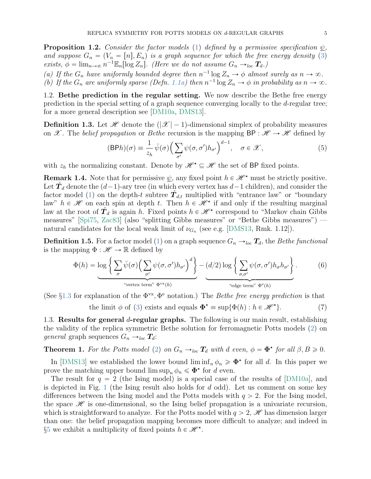<span id="page-4-5"></span>**Proposition 1.2.** Consider the factor models [\(1\)](#page-0-0) defined by a permissive specification  $\psi$ . and suppose  $G_n = (V_n = [n], E_n)$  is a graph sequence for which the free energy density [\(3\)](#page-1-0) exists,  $\phi = \lim_{n \to \infty} n^{-1} \mathbb{E}_n[\log Z_n]$ . (Here we do not assume  $G_n \to_{loc} T_d$ .)

<span id="page-4-7"></span><span id="page-4-6"></span>(a) If the  $G_n$  have uniformly bounded degree then  $n^{-1} \log Z_n \to \phi$  almost surely as  $n \to \infty$ . (b) If the  $G_n$  are uniformly sparse (Defn. [1.1](#page-3-0)[a\)](#page-3-2) then  $n^{-1} \log Z_n \to \phi$  in probability as  $n \to \infty$ .

1.2. Bethe prediction in the regular setting. We now describe the Bethe free energy prediction in the special setting of a graph sequence converging locally to the d-regular tree; for a more general description see [\[DM10a,](#page-21-10) [DMS13\]](#page-22-8).

**Definition 1.3.** Let  $\mathcal{H}$  denote the  $(|\mathcal{X}| - 1)$ -dimensional simplex of probability measures on X. The belief propagation or Bethe recursion is the mapping  $BP : \mathscr{H} \to \mathscr{H}$  defined by

<span id="page-4-0"></span>
$$
(\text{BPh})(\sigma) \equiv \frac{1}{z_h} \bar{\psi}(\sigma) \Big( \sum_{\sigma'} \psi(\sigma, \sigma') h_{\sigma'} \Big)^{d-1}, \quad \sigma \in \mathcal{X}, \tag{5}
$$

with  $z_h$  the normalizing constant. Denote by  $\mathscr{H}^* \subseteq \mathscr{H}$  the set of BP fixed points.

<span id="page-4-8"></span>**Remark 1.4.** Note that for permissive  $\psi$ , any fixed point  $h \in \mathcal{H}^*$  must be strictly positive. Let  $\hat{\mathbf{T}}_d$  denote the  $(d-1)$ -ary tree (in which every vertex has  $d-1$  children), and consider the factor model [\(1\)](#page-0-0) on the depth-t subtree  $\hat{T}_{d,t}$  multiplied with "entrance law" or "boundary" law"  $h \in \mathcal{H}$  on each spin at depth t. Then  $h \in \mathcal{H}^*$  if and only if the resulting marginal law at the root of  $\hat{\mathbf{T}}_d$  is again h. Fixed points  $h \in \mathcal{H}^*$  correspond to "Markov chain Gibbs measures" [\[Spi75,](#page-22-11) [Zac83\]](#page-22-12) (also "splitting Gibbs measures" or "Bethe Gibbs measures") natural candidates for the local weak limit of  $\nu_{G_n}$  (see e.g. [\[DMS13,](#page-22-8) Rmk. 1.12]).

**Definition 1.5.** For a factor model [\(1\)](#page-0-0) on a graph sequence  $G_n \rightarrow_{loc} T_d$ , the Bethe functional is the mapping  $\Phi : \mathscr{H} \to \mathbb{R}$  defined by \* \*

<span id="page-4-1"></span>
$$
\Phi(h) = \log \left\{ \sum_{\sigma} \bar{\psi}(\sigma) \Big( \sum_{\sigma'} \psi(\sigma, \sigma') h_{\sigma'} \Big)^{d} \right\} - (d/2) \log \left\{ \sum_{\sigma, \sigma'} \psi(\sigma, \sigma') h_{\sigma} h_{\sigma'} \right\}.
$$
 (6)

<span id="page-4-3"></span>(See  $\S1.3$  $\S1.3$  for explanation of the  $\Phi^{vx}, \Phi^e$  notation.) The *Bethe free energy prediction* is that the limit  $\phi$  of [\(3\)](#page-1-0) exists and equals  $\mathbf{\Phi}^{\star} \equiv \sup \{ \Phi(h) : h \in \mathcal{H}^{\star} \}$  $(7)$ 

<span id="page-4-2"></span>1.3. Results for general d-regular graphs. The following is our main result, establishing the validity of the replica symmetric Bethe solution for ferromagnetic Potts models [\(2\)](#page-0-1) on *general* graph sequences  $G_n \rightarrow_{loc} T_d$ :

<span id="page-4-4"></span>**Theorem 1.** For the Potts model [\(2\)](#page-0-1) on  $G_n \to_{loc} T_d$  with d even,  $\phi = \Phi^*$  for all  $\beta, B \geq 0$ .

In [\[DMS13\]](#page-22-8) we established the lower bound  $\liminf_n \phi_n \geq \Phi^*$  for all d. In this paper we prove the matching upper bound  $\limsup_n \phi_n \leq \Phi^*$  for d even.

The result for  $q = 2$  (the Ising model) is a special case of the results of [\[DM10a\]](#page-21-10), and is depicted in Fig. [1](#page-5-0) (the Ising result also holds for  $d$  odd). Let us comment on some key differences between the Ising model and the Potts models with  $q > 2$ . For the Ising model, the space  $\mathscr H$  is one-dimensional, so the Ising belief propagation is a univariate recursion, which is straightforward to analyze. For the Potts model with  $q > 2$ , H has dimension larger than one: the belief propagation mapping becomes more difficult to analyze; and indeed in §[5](#page-17-0) we exhibit a multiplicity of fixed points  $h \in \mathcal{H}^*$ .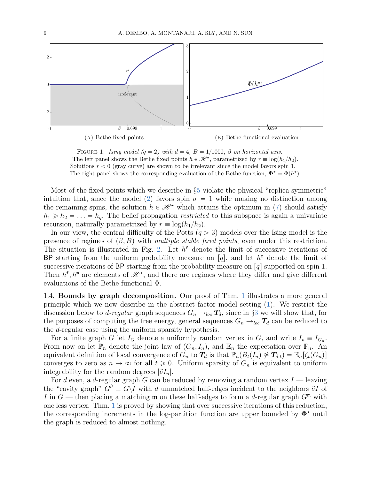<span id="page-5-0"></span>

FIGURE 1. Ising model (q = 2) with  $d = 4$ ,  $B = 1/1000$ ,  $\beta$  on horizontal axis. The left panel shows the Bethe fixed points  $h \in \mathcal{H}^{\star}$ , parametrized by  $r \equiv \log(h_1/h_2)$ . Solutions  $r < 0$  (gray curve) are shown to be irrelevant since the model favors spin 1. The right panel shows the corresponding evaluation of the Bethe function,  $\mathbf{\Phi}^{\star} = \Phi(h^{\star})$ .

Most of the fixed points which we describe in §[5](#page-17-0) violate the physical "replica symmetric" intuition that, since the model [\(2\)](#page-0-1) favors spin  $\sigma = 1$  while making no distinction among the remaining spins, the solution  $h \in \mathcal{H}^*$  which attains the optimum in [\(7\)](#page-4-3) should satisfy  $h_1 \ge h_2 = \ldots = h_q$ . The belief propagation *restricted* to this subspace is again a univariate recursion, naturally parametrized by  $r \equiv \log(h_1/h_2)$ .

In our view, the central difficulty of the Potts  $(q > 3)$  models over the Ising model is the presence of regimes of  $(\beta, B)$  with multiple stable fixed points, even under this restriction. The situation is illustrated in Fig. [2.](#page-6-0) Let  $h^f$  denote the limit of successive iterations of BP starting from the uniform probability measure on  $[q]$ , and let  $h^m$  denote the limit of successive iterations of BP starting from the probability measure on  $[q]$  supported on spin 1. Then  $h^{\text{f}}$ ,  $h^{\text{m}}$  are elements of  $\mathscr{H}^{\star}$ , and there are regimes where they differ and give different evaluations of the Bethe functional Φ.

1.4. Bounds by graph decomposition. Our proof of Thm. [1](#page-4-4) illustrates a more general principle which we now describe in the abstract factor model setting [\(1\)](#page-0-0). We restrict the discussion below to *d-regular* graph sequences  $G_n \rightarrow_{loc} T_d$ , since in §[3](#page-12-0) we will show that, for the purposes of computing the free energy, general sequences  $G_n \rightarrow_{loc} T_d$  can be reduced to the d-regular case using the uniform sparsity hypothesis.

For a finite graph G let  $I_G$  denote a uniformly random vertex in G, and write  $I_n \equiv I_{G_n}$ . From now on let  $\mathbb{P}_n$  denote the joint law of  $(G_n, I_n)$ , and  $\mathbb{E}_n$  the expectation over  $\mathbb{P}_n$ . An equivalent definition of local convergence of  $G_n$  to  $T_d$  is that  $\mathbb{P}_n(B_t(I_n) \not\cong T_{d,t}) = \mathbb{E}_n[\zeta_t(G_n)]$ converges to zero as  $n \to \infty$  for all  $t \geq 0$ . Uniform sparsity of  $G_n$  is equivalent to uniform integrability for the random degrees  $|\partial I_n|$ .

For d even, a d-regular graph G can be reduced by removing a random vertex  $I$  — leaving the "cavity graph"  $G^{\partial} \equiv G \backslash I$  with d unmatched half-edges incident to the neighbors  $\partial I$  of I in  $G$  — then placing a matching  $\mathfrak m$  on these half-edges to form a d-regular graph  $G^{\mathfrak m}$  with one less vertex. Thm. [1](#page-4-4) is proved by showing that over successive iterations of this reduction, the corresponding increments in the log-partition function are upper bounded by  $\Phi^{\star}$  until the graph is reduced to almost nothing.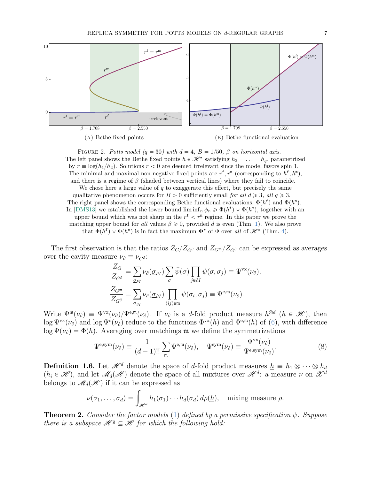<span id="page-6-0"></span>



We chose here a large value of  $q$  to exaggerate this effect, but precisely the same qualitative phenomenon occurs for  $B > 0$  sufficiently small for all  $d \geq 3$ , all  $q \geq 3$ . The right panel shows the corresponding Bethe functional evaluations,  $\Phi(h^{\text{f}})$  and  $\Phi(h^{\text{m}})$ . In [\[DMS13\]](#page-22-8) we established the lower bound  $\liminf_n \phi_n \geq \Phi(h^f) \vee \Phi(h^m)$ , together with an upper bound which was not sharp in the  $r^f < r^m$  regime. In this paper we prove the matching upper bound for all values  $\beta \geq 0$ , provided d is even (Thm. [1\)](#page-4-4). We also prove that  $\Phi(h^{\text{f}}) \vee \Phi(h^{\text{m}})$  is in fact the maximum  $\Phi^{\star}$  of  $\Phi$  over all of  $\mathscr{H}^{\star}$  (Thm. [4\)](#page-8-1).

The first observation is that the ratios  $Z_{G}/Z_{G}$  and  $Z_{G}$  $\sim$   $Z_{G}$  can be expressed as averages over the cavity measure  $\nu_{\partial} \equiv \nu_{G^{\partial}}$ :

$$
\frac{Z_G}{Z_{G^{\partial}}} = \sum_{\underline{\sigma}_{\partial I}} \nu_{\partial}(\underline{\sigma}_{\partial I}) \sum_{\sigma} \bar{\psi}(\sigma) \prod_{j \in \partial I} \psi(\sigma, \sigma_j) \equiv \Psi^{\text{vx}}(\nu_{\partial}),
$$
  

$$
\frac{Z_{G^{\mathfrak{m}}}}{Z_{G^{\partial}}} = \sum_{\underline{\sigma}_{\partial I}} \nu_{\partial}(\underline{\sigma}_{\partial I}) \prod_{(ij) \in \mathfrak{m}} \psi(\sigma_i, \sigma_j) \equiv \Psi^{\text{e},\mathfrak{m}}(\nu_{\partial}).
$$

Write  $\Psi^{\mathfrak{m}}(\nu_{\partial}) \equiv \Psi^{\text{vx}}(\nu_{\partial})/\Psi^{\text{e,m}}(\nu_{\partial})$ . If  $\nu_{\partial}$  is a d-fold product measure  $h^{\otimes d}$   $(h \in \mathcal{H})$ , then  $\log \Psi^{\text{vx}}(\nu_{\partial})$  and  $\log \Psi^{\text{e}}(\nu_{\partial})$  reduce to the functions  $\Phi^{\text{vx}}(h)$  and  $\Phi^{\text{e,m}}(h)$  of [\(6\)](#page-4-1), with difference  $\log \Psi(\nu_{\partial}) = \Phi(h)$ . Averaging over matchings m we define the symmetrizations

<span id="page-6-1"></span>
$$
\Psi^{\text{e,sym}}(\nu_{\partial}) = \frac{1}{(d-1)!!} \sum_{\mathfrak{m}} \Psi^{\text{e,m}}(\nu_{\partial}), \quad \Psi^{\text{sym}}(\nu_{\partial}) \equiv \frac{\Psi^{\text{vx}}(\nu_{\partial})}{\Psi^{\text{e,sym}}(\nu_{\partial})}.
$$
 (8)

**Definition 1.6.** Let  $\mathcal{H}^d$  denote the space of d-fold product measures  $h \equiv h_1 \otimes \cdots \otimes h_d$  $(h_i \in \mathcal{H})$ , and let  $\mathcal{M}_d(\mathcal{H})$  denote the space of all mixtures over  $\mathcal{H}^d$ : a measure  $\nu$  on  $\mathcal{X}^d$ 

belongs to 
$$
\mathcal{M}_d(\mathcal{H})
$$
 if it can be expressed as  
\n
$$
\nu(\sigma_1,\ldots,\sigma_d) = \int_{\mathcal{H}^d} h_1(\sigma_1)\cdots h_d(\sigma_d) d\rho(\underline{h}), \text{ mixing measure } \rho.
$$

<span id="page-6-2"></span>**Theorem 2.** Consider the factor models [\(1\)](#page-0-0) defined by a permissive specification  $\psi$ . Suppose there is a subspace  $\mathscr{H}^g \subseteq \mathscr{H}$  for which the following hold: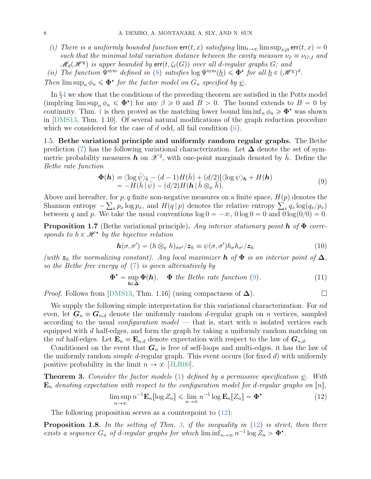- <span id="page-7-8"></span>(i) There is a uniformly bounded function  $err(t, x)$  satisfying  $\lim_{t\to\infty} \limsup_{x\downarrow 0} err(t, x) = 0$ such that the minimal total variation distance between the cavity measure  $\nu_{\partial} \equiv \nu_{G\setminus I}$  and  $\mathscr{M}_d(\mathscr{H}^\mathrm{g})$  is upper bounded by  $\mathsf{err}(t, \zeta_t(G))$  over all d-regular graphs  $G;$  and
- <span id="page-7-0"></span>(ii) The function  $\Psi^{\text{sym}}$  defined in [\(8\)](#page-6-1) satisfies  $\log \Psi^{\text{sym}}(\underline{h}) \leq \Phi^*$  for all  $\underline{h} \in (\mathscr{H}^g)^d$ .

Then  $\limsup_n \phi_n \leq \Phi^*$  for the factor model on  $G_n$  specified by  $\underline{\psi}$ .

In §[4](#page-15-0) we show that the conditions of the preceding theorem are satisfied in the Potts model (implying  $\limsup_n \phi_n \leq \Phi^*$ ) for any  $\beta \geq 0$  and  $B > 0$ . The bound extends to  $B = 0$  by continuity. Thm. [1](#page-4-4) is then proved as the matching lower bound  $\liminf_n \phi_n \geq \Phi^*$  was shown in [\[DMS13,](#page-22-8) Thm. 1.10]. Of several natural modifications of the graph reduction procedure which we considered for the case of  $d$  odd, all fail condition [\(ii\)](#page-7-0).

1.5. Bethe variational principle and uniformly random regular graphs. The Bethe prediction [\(7\)](#page-4-3) has the following variational characterization. Let  $\Delta$  denote the set of symmetric probability measures  $\vec{h}$  on  $\mathscr{X}^2$ , with one-point marginals denoted by  $\bar{h}$ . Define the Bethe rate function

<span id="page-7-1"></span>
$$
\Phi(\mathbf{h}) \equiv \langle \log \bar{\psi} \rangle_{\bar{h}} - (d-1)H(\bar{h}) + (d/2)[\langle \log \psi \rangle_{\mathbf{h}} + H(\mathbf{h})
$$
  
=  $-H(\bar{h}|\bar{\psi}) - (d/2)H(\mathbf{h}|\bar{h} \otimes_{\psi} \bar{h}).$  (9)

Above and hereafter, for  $p, q$  finite non-negative measures on a finite space,  $H(p)$  denotes the Above and hereafter, for p, q finite non-negative measures on a finite space,  $H(p)$  denotes the Shannon entropy  $-\sum_{x} p_x \log p_x$ , and  $H(q | p)$  denotes the relative entropy  $\sum_{x} q_x \log (q_x / p_x)$ between q and p. We take the usual conventions  $\log 0 = -\infty$ ,  $0 \log 0 = 0$  and  $0 \log(0/0) = 0$ .

<span id="page-7-6"></span>**Proposition 1.7** (Bethe variational principle). Any interior stationary point **h** of  $\Phi$  corresponds to  $h \in \mathcal{H}^*$  by the bijective relation

<span id="page-7-4"></span>
$$
\mathbf{h}(\sigma,\sigma') = (h \otimes_{\psi} h)_{\sigma\sigma'}/z_h \equiv \psi(\sigma,\sigma')h_{\sigma}h_{\sigma'}/z_h \tag{10}
$$

(with  $z_h$  the normalizing constant). Any local maximizer h of  $\Phi$  is an interior point of  $\Delta$ , so the Bethe free energy of [\(7\)](#page-4-3) is given alternatively by

<span id="page-7-5"></span>
$$
\Phi^* = \sup_{h \in \Delta} \Phi(h), \quad \Phi \, \text{ the Bethe rate function (9).} \tag{11}
$$

*Proof.* Follows from [\[DMS13,](#page-22-8) Thm. 1.16] (using compactness of  $\Delta$ ).

We supply the following simple interpretation for this variational characterization. For nd even, let  $G_n \equiv G_{n,d}$  denote the uniformly random d-regular graph on n vertices, sampled according to the usual *configuration model* — that is, start with n isolated vertices each equipped with  $d$  half-edges, and form the graph by taking a uniformly random matching on the nd half-edges. Let  $\mathbf{E}_n \equiv \mathbf{E}_{n,d}$  denote expectation with respect to the law of  $\mathbf{G}_{n,d}$ .

Conditioned on the event that  $G_n$  is free of self-loops and multi-edges, it has the law of the uniformly random *simple d*-regular graph. This event occurs (for fixed  $d$ ) with uniformly positive probability in the limit  $n \to \infty$  [JLR00].

<span id="page-7-3"></span>**Theorem 3.** Consider the factor models [\(1\)](#page-0-0) defined by a permissive specification  $\psi$ . With  $\mathbf{E}_n$  denoting expectation with respect to the configuration model for d-regular graphs on  $[n]$ ,

<span id="page-7-2"></span>
$$
\limsup_{n \to \infty} n^{-1} \mathbf{E}_n[\log Z_n] \le \lim_{n \to \infty} n^{-1} \log \mathbf{E}_n[Z_n] = \mathbf{\Phi}^\star \tag{12}
$$

The following proposition serves as a counterpoint to  $(12)$ :

<span id="page-7-7"></span>**Proposition 1.8.** In the setting of Thm. [3,](#page-7-3) if the inequality in  $(12)$  is strict, then there exists a sequence  $G_n$  of d-regular graphs for which  $\liminf_{n\to\infty} n^{-1} \log Z_n > \Phi^*$ .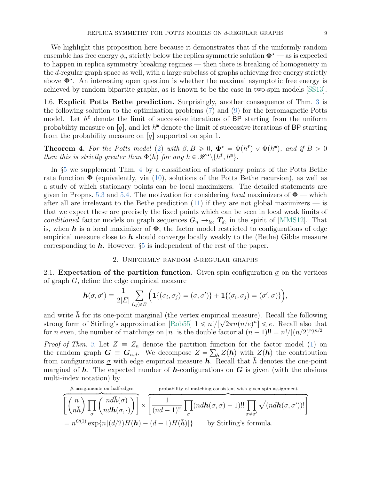We highlight this proposition here because it demonstrates that if the uniformly random ensemble has free energy  $\phi_n$  strictly below the replica symmetric solution  $\Phi^*$  — as is expected to happen in replica symmetry breaking regimes — then there is breaking of homogeneity in the d-regular graph space as well, with a large subclass of graphs achieving free energy strictly above  $\Phi^*$ . An interesting open question is whether the maximal asymptotic free energy is achieved by random bipartite graphs, as is known to be the case in two-spin models [\[SS13\]](#page-22-14).

<span id="page-8-2"></span>1.6. Explicit Potts Bethe prediction. Surprisingly, another consequence of Thm. [3](#page-7-3) is the following solution to the optimization problems [\(7\)](#page-4-3) and [\(9\)](#page-7-1) for the ferromagnetic Potts model. Let  $h^f$  denote the limit of successive iterations of BP starting from the uniform probability measure on  $[q]$ , and let  $h^{\text{m}}$  denote the limit of successive iterations of BP starting from the probability measure on  $[q]$  supported on spin 1.

<span id="page-8-1"></span>**Theorem 4.** For the Potts model [\(2\)](#page-0-1) with  $\beta, B \ge 0$ ,  $\Phi^* = \Phi(h^f) \vee \Phi(h^m)$ , and if  $B > 0$ then this is strictly greater than  $\Phi(h)$  for any  $h \in \mathscr{H}^{\star} \setminus \{h^{\mathbf{f}}, h^{\mathbf{m}}\}.$ 

In §[5](#page-17-0) we supplement Thm. [4](#page-8-1) by a classification of stationary points of the Potts Bethe rate function  $\Phi$  (equivalently, via [\(10\)](#page-7-4), solutions of the Potts Bethe recursion), as well as a study of which stationary points can be local maximizers. The detailed statements are given in Propns. [5.3](#page-19-0) and [5.4.](#page-19-1) The motivation for considering *local* maximizers of  $\Phi$  — which after all are irrelevant to the Bethe prediction  $(11)$  if they are not global maximizers — is that we expect these are precisely the fixed points which can be seen in local weak limits of conditioned factor models on graph sequences  $G_n \rightarrow_{loc} T_d$ , in the spirit of [\[MMS12\]](#page-22-9). That is, when h is a local maximizer of  $\Phi$ , the factor model restricted to configurations of edge empirical measure close to  $h$  should converge locally weakly to the (Bethe) Gibbs measure corresponding to  $h$ . However,  $\S5$  $\S5$  is independent of the rest of the paper.

## 2. UNIFORMLY RANDOM  $d$ -REGULAR GRAPHS

<span id="page-8-0"></span>2.1. Expectation of the partition function. Given spin configuration  $\sigma$  on the vertices % of graph  $G$ , define the edge empirical measure

$$
\boldsymbol{h}(\sigma,\sigma') \equiv \frac{1}{2|E|} \sum_{(ij)\in E} \Big( \mathbf{1}\{(\sigma_i,\sigma_j) = (\sigma,\sigma')\} + \mathbf{1}\{(\sigma_i,\sigma_j) = (\sigma',\sigma)\}\Big),
$$

and write  $\bar{h}$  for its one-point marginal (the vertex empirical measure). Recall the following and write *n* for its one-point marginal (the vertex empirical measure). Recall the following<br>strong form of Stirling's approximation [\[Rob55\]](#page-22-15)  $1 \le n!/[\sqrt{2\pi n}(n/e)^n] \le e$ . Recall also that for *n* even, the number of matchings on [*n*] is the double factorial  $(n - 1)!! = n!/[(n/2)!2^{n/2}]$ .

*Proof of Thm.* [3.](#page-7-3) Let  $Z = Z_n$  denote the partition function for the factor model [\(1\)](#page-0-0) on the random graph  $G = G_{n,d}$ . We decompose  $Z = \sum_{h} Z(h)$  with  $Z(h)$  the contribution from configurations  $\sigma$  with edge empirical measure h. Recall that  $\bar{h}$  denotes the one-point marginal of  $h$ . The expected number of  $h$ -configurations on  $G$  is given (with the obvious multi-index notation) by

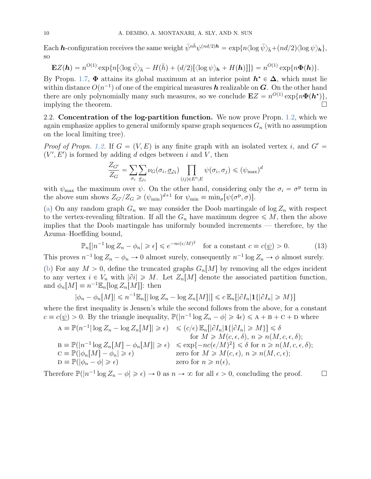Each  $\bm{h}$ -configuration receives the same weight  $\bar{\psi}^{n\bar{h}}\psi^{(nd/2)\bm{h}} = \exp\{n\langle \log \bar{\psi}\rangle_{\bar{h}} + (nd/2)\langle \log \psi\rangle_{\bm{h}}\},$ so

$$
\mathbf{E}Z(\boldsymbol{h}) = n^{O(1)} \exp\{n[\langle \log \bar{\psi} \rangle_{\bar{\boldsymbol{h}}} - H(\bar{\boldsymbol{h}}) + (d/2)[\langle \log \psi \rangle_{\boldsymbol{h}} + H(\boldsymbol{h})]]\} = n^{O(1)} \exp\{n\Phi(\boldsymbol{h})\}.
$$

By Propn. [1.7,](#page-7-6)  $\Phi$  attains its global maximum at an interior point  $h^* \in \Delta$ , which must lie within distance  $O(n^{-1})$  of one of the empirical measures  $\bm{h}$  realizable on  $\bm{G}$ . On the other hand there are only polynomially many such measures, so we conclude  $\mathbf{E}Z = n^{O(1)} \exp\{n\Phi(\mathbf{h}^*)\},\$ implying the theorem.  $\Box$ 

2.2. Concentration of the log-partition function. We now prove Propn. [1.2,](#page-4-5) which we again emphasize applies to general uniformly sparse graph sequences  $G_n$  (with no assumption on the local limiting tree).

*Proof of Propn. [1.2.](#page-4-5)* If  $G = (V, E)$  is any finite graph with an isolated vertex i, and  $G' =$  $(V', E')$  is formed by adding d edges between i and V, then

$$
\frac{Z_{G'}}{Z_G} = \sum_{\sigma_i} \sum_{\sigma_i} \nu_G(\sigma_i, \underline{\sigma}_{\partial i}) \prod_{(ij) \in E' \backslash E} \psi(\sigma_i, \sigma_j) \leqslant (\psi_{\text{max}})^d
$$

with  $\psi_{\text{max}}$  the maximum over  $\psi$ . On the other hand, considering only the  $\sigma_i = \sigma^{\text{p}}$  term in the above sum shows  $Z_{G'}/Z_G \geqslant (\psi_{\min})^{d+1}$  for  $\psi_{\min} \equiv \min_{\sigma} [\psi(\sigma^p, \sigma)].$ 

[\(a\)](#page-4-6) On any random graph  $G_n$  we may consider the Doob martingale of log  $Z_n$  with respect to the vertex-revealing filtration. If all the  $G_n$  have maximum degree  $\leqslant M$ , then the above implies that the Doob martingale has uniformly bounded increments — therefore, by the Azuma–Hoeffding bound,

<span id="page-9-0"></span>
$$
\mathbb{P}_n[|n^{-1}\log Z_n - \phi_n| \geq \epsilon] \leq e^{-nc(\epsilon/M)^2} \quad \text{for a constant } c \equiv c(\underline{\psi}) > 0. \tag{13}
$$

This proves  $n^{-1} \log Z_n - \phi_n \to 0$  almost surely, consequently  $n^{-1} \log Z_n \to \phi$  almost surely. [\(b\)](#page-4-7) For any  $M > 0$ , define the truncated graphs  $G_n[M]$  by removing all the edges incident to any vertex  $i \in V_n$  with  $|\partial i| \geq M$ . Let  $Z_n[M]$  denote the associated partition function, and  $\phi_n[M] \equiv n^{-1} \mathbb{E}_n[\log Z_n[M]]$ : then

$$
|\phi_n - \phi_n[M]| \le n^{-1} \mathbb{E}_n[|\log Z_n - \log Z_n[M]|] \le c \mathbb{E}_n[|\partial I_n| \mathbf{1}\{|\partial I_n| \ge M\}]
$$

where the first inequality is Jensen's while the second follows from the above, for a constant  $c \equiv c(\psi) > 0$ . By the triangle inequality,  $\mathbb{P}(|n^{-1} \log Z_n - \phi| \geq 4\epsilon) \leq A + B + C + D$  where

$$
A \equiv \mathbb{P}(n^{-1}|\log Z_n - \log Z_n[M]) \ge \epsilon) \le (c/\epsilon) \mathbb{E}_n[|\partial I_n| \mathbf{1}\{|\partial I_n| \ge M\}] \le \delta
$$
  
\nfor  $M \ge M(c, \epsilon, \delta), n \ge n(M, c, \epsilon, \delta);$   
\n
$$
B \equiv \mathbb{P}(|n^{-1}\log Z_n[M] - \phi_n[M]) \ge \epsilon) \le \exp\{-nc(\epsilon/M)^2\} \le \delta \text{ for } n \ge n(M, c, \epsilon, \delta);
$$
  
\n
$$
C \equiv \mathbb{P}(|\phi_n[M] - \phi_n| \ge \epsilon) \qquad \text{zero for } M \ge M(c, \epsilon), n \ge n(M, c, \epsilon);
$$
  
\n
$$
D \equiv \mathbb{P}(|\phi_n - \phi| \ge \epsilon) \qquad \text{zero for } n \ge n(\epsilon),
$$

Therefore  $\mathbb{P}(|n^{-1}\log Z_n - \phi| \geq \epsilon) \to 0$  as  $n \to \infty$  for all  $\epsilon > 0$ , concluding the proof.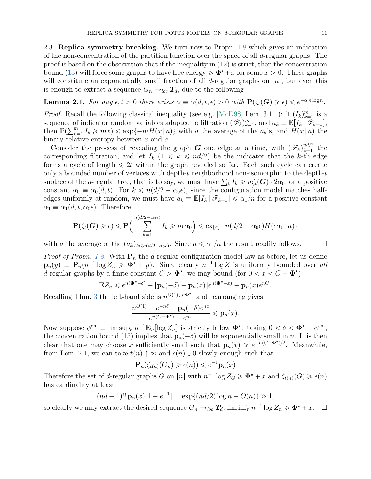2.3. Replica symmetry breaking. We turn now to Propn. [1.8](#page-7-7) which gives an indication of the non-concentration of the partition function over the space of all  $d$ -regular graphs. The proof is based on the observation that if the inequality in  $(12)$  is strict, then the concentration bound [\(13\)](#page-9-0) will force some graphs to have free energy  $\geq \Phi^* + x$  for some  $x > 0$ . These graphs will constitute an exponentially small fraction of all d-regular graphs on  $|n|$ , but even this is enough to extract a sequence  $G_n \rightarrow_{loc} T_d$ , due to the following

<span id="page-10-0"></span>**Lemma 2.1.** For any  $\epsilon, t > 0$  there exists  $\alpha \equiv \alpha(d, t, \epsilon) > 0$  with  $\mathbf{P}(\zeta_t(\mathbf{G}) \geq \epsilon) \leq e^{-\alpha n \log n}$ .

*Proof.* Recall the following classical inequality (see e.g. [\[McD98,](#page-22-16) Lem. 3.11]): if  $(I_k)_{k=1}^m$  is a sequence of indicator random variables adapted to filtration  $(\mathscr{F}_k)_{k=1}^m$ , and  $a_k \equiv \mathbb{E}[I_k | \mathscr{F}_{k-1}],$ <br>then  $\mathbb{P}(\sum_{k=1}^m I_k > mn) \leq \text{cm}(\mathscr{F}_k | a_k)$  with a the exerge of the a 's and  $H(x|a)$  the then  $\mathbb{P}(\sum_{k=1}^m I_k \geq m x) \leq \exp\{-mH(x | a)\}\$  with a the average of the  $a_k$ 's, and  $H(x | a)$  the binary relative entropy between  $x$  and  $a$ .

Consider the process of revealing the graph G one edge at a time, with  $(\mathscr{F}_k)_{k=1}^{nd/2}$  $\sum_{k=1}^{na/2}$  the corresponding filtration, and let  $I_k$  ( $1 \le k \le nd/2$ ) be the indicator that the k-th edge forms a cycle of length  $\leq 2t$  within the graph revealed so far. Each such cycle can create only a bounded number of vertices with depth-t neighborhood non-isomorphic to the depth-t only a bounded number of vertices with depth-t neighborhood non-isomorphic to the depth-t subtree of the d-regular tree, that is to say, we must have  $\sum_k I_k \geq n\zeta_t(G) \cdot 2\alpha_0$  for a positive constant  $\alpha_0 \equiv \alpha_0(d, t)$ . For  $k \leq n(d/2 - \alpha_0 \epsilon)$ , since the configuration model matches halfedges uniformly at random, we must have  $a_k \equiv \mathbb{E}[I_k | \mathscr{F}_{k-1}] \leq \alpha_1/n$  for a positive constant  $\alpha_1 \equiv \alpha_1(d, t, \alpha_0 \epsilon)$ . Therefore

$$
\mathbf{P}(\zeta_t(\boldsymbol{G}) \geq \epsilon) \leq \mathbf{P}\left(\sum_{k=1}^{n(d/2-\alpha_0\epsilon)} I_k \geq n\epsilon\alpha_0\right) \leq \exp\{-n(d/2-\alpha_0\epsilon)H(\epsilon\alpha_0 | a)\}\
$$

with a the average of the  $(a_k)_{k \leq n(d/2-\alpha_0\epsilon)}$ . Since  $a \leq \alpha_1/n$  the result readily follows.

*Proof of Propn. [1.8.](#page-7-7)* With  $P_n$  the d-regular configuration model law as before, let us define  $\mathbf{p}_n(y) \equiv \mathbf{P}_n(n^{-1} \log Z_n \geqslant \Phi^* + y)$ . Since clearly  $n^{-1} \log Z$  is uniformly bounded over all d-regular graphs by a finite constant  $C > \mathbf{\Phi}^*$ , we may bound (for  $0 < x < C - \mathbf{\Phi}^*$ )

$$
\mathbb{E}Z_n \leqslant e^{n(\Phi^\star - \delta)} + [\mathbf{p}_n(-\delta) - \mathbf{p}_n(x)]e^{n(\Phi^\star + x)} + \mathbf{p}_n(x)e^{nC}.
$$

Recalling Thm. [3](#page-7-3) the left-hand side is  $n^{O(1)}e^{n\Phi^*}$ , and rearranging gives

$$
\frac{n^{O(1)} - e^{-n\delta} - \mathbf{p}_n(-\delta)e^{nx}}{e^{n(C - \Phi^*)} - e^{nx}} \le \mathbf{p}_n(x).
$$

Now suppose  $\phi^{\text{cm}} \equiv \limsup_n n^{-1} \mathbf{E}_n[\log Z_n]$  is strictly below  $\Phi^{\star}$ : taking  $0 < \delta < \Phi^{\star} - \phi^{\text{cm}}$ , the concentration bound [\(13\)](#page-9-0) implies that  $\mathbf{p}_n(-\delta)$  will be exponentially small in n. It is then clear that one may choose x sufficiently small such that  $\mathbf{p}_n(x) \geq e^{-n(C-\Phi^*)/2}$ . Meanwhile, from Lem. [2.1,](#page-10-0) we can take  $t(n) \uparrow \infty$  and  $\epsilon(n) \downarrow 0$  slowly enough such that

$$
\mathbf{P}_n(\zeta_{t(n)}(G_n) \geq \epsilon(n)) \leqslant e^{-1}\mathbf{p}_n(x)
$$

Therefore the set of d-regular graphs G on  $[n]$  with  $n^{-1} \log Z_G \ge \Phi^* + x$  and  $\zeta_{t(n)}(G) \ge \epsilon(n)$ has cardinality at least

$$
(nd-1)!!\mathbf{p}_n(x)[1-e^{-1}] = \exp\{(nd/2)\log n + O(n)\} \gg 1,
$$

so clearly we may extract the desired sequence  $G_n \to_{loc} T_d$ ,  $\liminf_n n^{-1} \log Z_n \geq \Phi^* + x$ .  $\Box$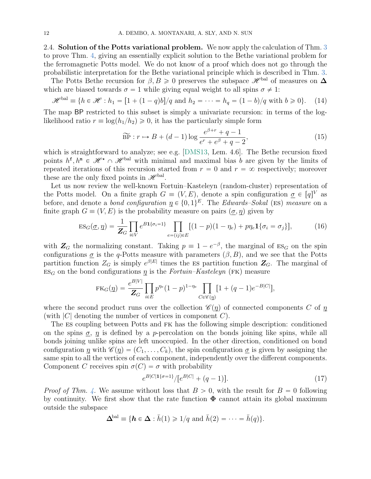2.4. **Solution of the Potts variational problem.** We now apply the calculation of Thm. [3](#page-7-3) to prove Thm. [4,](#page-8-1) giving an essentially explicit solution to the Bethe variational problem for the ferromagnetic Potts model. We do not know of a proof which does not go through the probabilistic interpretation for the Bethe variational principle which is described in Thm. [3.](#page-7-3)

The Potts Bethe recursion for  $\beta, B \geq 0$  preserves the subspace  $\mathscr{H}^{\text{bal}}$  of measures on  $\Delta$ which are biased towards  $\sigma = 1$  while giving equal weight to all spins  $\sigma \neq 1$ :

<span id="page-11-2"></span>
$$
\mathcal{H}^{\text{bal}} \equiv \{ h \in \mathcal{H} : h_1 = [1 + (1 - q)b] / q \text{ and } h_2 = \dots = h_q = (1 - b) / q \text{ with } b \ge 0 \}. \tag{14}
$$

The map BP restricted to this subset is simply a univariate recursion: in terms of the loglikelihood ratio  $r \equiv \log(h_1/h_2) \geq 0$ , it has the particularly simple form

<span id="page-11-3"></span>
$$
\widetilde{\text{BP}}: r \mapsto B + (d-1)\log \frac{e^{\beta+r} + q - 1}{e^r + e^{\beta} + q - 2},\tag{15}
$$

which is straightforward to analyze; see e.g. [\[DMS13,](#page-22-8) Lem. 4.6]. The Bethe recursion fixed points  $h^f, h^m \in \mathscr{H}^* \cap \mathscr{H}^{\text{bal}}$  with minimal and maximal bias b are given by the limits of repeated iterations of this recursion started from  $r = 0$  and  $r = \infty$  respectively; moreover these are the only fixed points in  $\mathscr{H}^{\text{bal}}$ .

Let us now review the well-known Fortuin–Kasteleyn (random-cluster) representation of the Potts model. On a finite graph  $G \equiv (V, E)$ , denote a spin configuration  $\underline{\sigma} \in [q]^V$  as before, and denote a *bond configuration*  $p \in \{0, 1\}^E$ . The Edwards–Sokal (ES) measure on a finite graph  $G = (V, E)$  is the probability measure on pairs  $(\sigma, \eta)$  given by

<span id="page-11-0"></span>
$$
\text{ES}_G(\underline{\sigma}, \underline{\eta}) = \frac{1}{\mathbf{Z}_G} \prod_{i \in V} e^{B \mathbf{1}\{\sigma_i = 1\}} \prod_{e = (ij) \in E} [(1 - p)(1 - \eta_e) + p\eta_e \mathbf{1}\{\sigma_i = \sigma_j\}], \tag{16}
$$

with  $\mathbb{Z}_G$  the normalizing constant. Taking  $p \equiv 1 - e^{-\beta}$ , the marginal of  $ES_G$  on the spin configurations  $\sigma$  is the q-Potts measure with parameters  $(\beta, B)$ , and we see that the Potts partition function  $Z_G$  is simply  $e^{\beta|E|}$  times the ES partition function  $\mathbb{Z}_G$ . The marginal of  $ES_G$  on the bond configurations  $\eta$  is the *Fortuin–Kasteleyn* (FK) measure

$$
FK_G(\underline{\eta}) = \frac{e^{B|V|}}{Z_G} \prod_{i \in E} p^{n_e} (1 - p)^{1 - \eta_e} \prod_{C \in \mathscr{C}(\underline{\eta})} [1 + (q - 1)e^{-B|C|}],
$$

where the second product runs over the collection  $\mathscr{C}(\eta)$  of connected components C of  $\eta$ (with  $|C|$  denoting the number of vertices in component  $C$ ).

The es coupling between Potts and fk has the following simple description: conditioned on the spins  $\sigma$ ,  $\eta$  is defined by a *p*-percolation on the bonds joining like spins, while all bonds joining unlike spins are left unoccupied. In the other direction, conditioned on bond configuration  $\eta$  with  $\mathscr{C}(\eta) = (C_1, \ldots, C_k)$ , the spin configuration  $\sigma$  is given by assigning the same spin to all the vertices of each component, independently over the different components. Component C receives spin  $\sigma(C) = \sigma$  with probability

<span id="page-11-1"></span>
$$
e^{B|C|1\{\sigma=1\}}/[e^{B|C|} + (q-1)].
$$
\n(17)

*Proof of Thm.* [4.](#page-8-1) We assume without loss that  $B > 0$ , with the result for  $B = 0$  following by continuity. We first show that the rate function  $\Phi$  cannot attain its global maximum outside the subspace

$$
\Delta^{\text{bal}} \equiv \{ \boldsymbol{h} \in \Delta : \bar{h}(1) \geq 1/q \text{ and } \bar{h}(2) = \cdots = \bar{h}(q) \}.
$$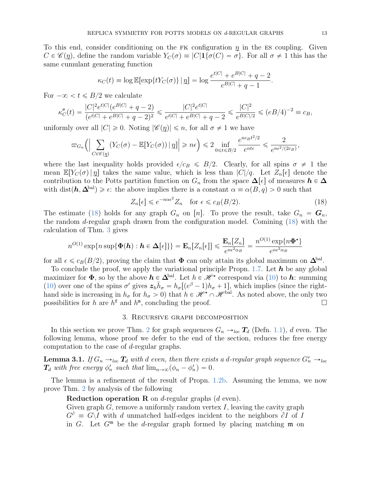To this end, consider conditioning on the FK configuration  $\eta$  in the ES coupling. Given  $C \in \mathscr{C}(\eta)$ , define the random variable  $Y_C(\sigma) \equiv |C| \mathbf{1}\{\sigma(C) = \sigma\}$ . For all  $\sigma \neq 1$  this has the same cumulant generating function

$$
\kappa_C(t) \equiv \log \mathbb{E}[\exp\{tY_C(\sigma)\} | \eta] = \log \frac{e^{t|C|} + e^{B|C|} + q - 2}{e^{B|C|} + q - 1}.
$$

For  $-\infty < t \leq B/2$  we calculate

$$
\kappa_C''(t) = \frac{|C|^2 e^{t|C|} (e^{B|C|} + q - 2)}{(e^{t|C|} + e^{B|C|} + q - 2)^2} \leq \frac{|C|^2 e^{t|C|}}{e^{t|C|} + e^{B|C|} + q - 2} \leq \frac{|C|^2}{e^{B|C|/2}} \leq (eB/4)^{-2} \equiv c_B,
$$

uniformly over all  $|C| \geq 0$ . Noting  $|\mathscr{C}(p)| \leq n$ , for all  $\sigma \neq 1$  we have

$$
\varpi_{G_n}\Big(\Big|\sum_{C\in\mathscr{C}(\underline{\eta})}\big(Y_C(\sigma)-\mathbb{E}\big[Y_C(\sigma)\big)\,\big|\,\underline{\eta}\big]\Big|\geqslant n\epsilon\Big)\leqslant 2\inf_{0\leqslant t\leqslant B/2}\frac{e^{nc_Bt^2/2}}{e^{nt\epsilon}}\leqslant \frac{2}{e^{n\epsilon^2/(2c_B)}},
$$

where the last inequality holds provided  $\epsilon/c_B \leq B/2$ . Clearly, for all spins  $\sigma \neq 1$  the mean  $\mathbb{E}[Y_C(\sigma) | \eta]$  takes the same value, which is less than  $|C|/q$ . Let  $Z_n[\epsilon]$  denote the contribution to the Potts partition function on  $G_n$  from the space  $\Delta[\epsilon]$  of measures  $h \in \Delta$ with dist $(h, \Delta^{\text{bal}}) \geq \epsilon$ : the above implies there is a constant  $\alpha \equiv \alpha(B, q) > 0$  such that

<span id="page-12-1"></span>
$$
Z_n[\epsilon] \leq e^{-n\alpha \epsilon^2} Z_n \quad \text{for } \epsilon \leq c_B(B/2). \tag{18}
$$

The estimate [\(18\)](#page-12-1) holds for any graph  $G_n$  on [n]. To prove the result, take  $G_n = G_n$ , the random d-regular graph drawn from the configuration model. Comining [\(18\)](#page-12-1) with the calculation of Thm. [3](#page-7-3) gives

$$
n^{O(1)} \exp\{n \sup\{\Phi(\boldsymbol{h}) : \boldsymbol{h} \in \Delta[\epsilon]\}\} = \mathbf{E}_n[Z_n[\epsilon]] \leqslant \frac{\mathbf{E}_n[Z_n]}{e^{n\epsilon^2 \alpha_B}} = \frac{n^{O(1)} \exp\{n\Phi^{\star}\}}{e^{n\epsilon^2 \alpha_B}}
$$

for all  $\epsilon \leq c_B(B/2)$ , proving the claim that  $\Phi$  can only attain its global maximum on  $\Delta^{\text{bal}}$ .

To conclude the proof, we apply the variational principle Propn. [1.7.](#page-7-6) Let  $h$  be any global maximizer for  $\Phi$ , so by the above  $h \in \Delta^{\text{bal}}$ . Let  $h \in \mathscr{H}^{\star}$  correspond via [\(10\)](#page-7-4) to  $h$ : summing [\(10\)](#page-7-4) over one of the spins  $\sigma'$  gives  $z_h\bar{h}_{\sigma} = h_{\sigma}[(e^{\beta}-1)h_{\sigma}+1]$ , which implies (since the righthand side is increasing in  $h_{\sigma}$  for  $h_{\sigma} > 0$  that  $h \in \mathcal{H}^{\star} \cap \mathcal{H}^{\text{bal}}$ . As noted above, the only two possibilities for h are  $h^f$  and  $h^m$ , concluding the proof.

## 3. Recursive graph decomposition

<span id="page-12-0"></span>In this section we prove Thm. [2](#page-6-2) for graph sequences  $G_n \rightarrow_{loc} T_d$  (Defn. [1.1\)](#page-3-0), d even. The following lemma, whose proof we defer to the end of the section, reduces the free energy computation to the case of d-regular graphs.

<span id="page-12-2"></span>**Lemma 3.1.** If  $G_n \rightarrow_{loc} T_d$  with d even, then there exists a d-regular graph sequence  $G'_n \rightarrow_{loc} T_d$  $T_d$  with free energy  $\phi'_n$  such that  $\lim_{n\to\infty}(\phi_n - \phi'_n) = 0$ .

The lemma is a refinement of the result of Propn. [1.2](#page-4-5)[b.](#page-4-7) Assuming the lemma, we now prove Thm. [2](#page-6-2) by analysis of the following

# **Reduction operation R** on  $d$ -regular graphs  $(d \text{ even})$ .

Given graph  $G$ , remove a uniformly random vertex  $I$ , leaving the cavity graph  $G^{\partial} \equiv G \backslash I$  with d unmatched half-edges incident to the neighbors  $\partial I$  of I in G. Let  $G^{\mathfrak{m}}$  be the d-regular graph formed by placing matching  $\mathfrak{m}$  on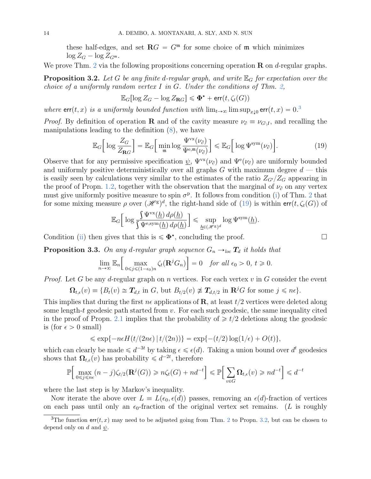these half-edges, and set  $\mathbf{R}G = G^{\mathfrak{m}}$  for some choice of  $\mathfrak{m}$  which minimizes  $\log Z_G - \log Z_{G^{\mathfrak{m}}}$ .

We prove Thm. [2](#page-6-2) via the following propositions concerning operation  $\bf{R}$  on d-regular graphs.

<span id="page-13-2"></span>**Proposition 3.2.** Let G be any finite d-regular graph, and write  $\mathbb{E}_G$  for expectation over the choice of a uniformly random vertex I in G. Under the conditions of Thm. [2,](#page-6-2)

$$
\mathbb{E}_G[\log Z_G - \log Z_{\mathbf{R}G}] \leq \Phi^{\star} + \textsf{err}(t, \zeta_t(G))
$$

where  $\textsf{err}(t, x)$  is a uniformly bounded function with  $\lim_{t\to\infty} \limsup_{x\downarrow 0} \textsf{err}(t, x) = 0$ .

*Proof.* By definition of operation **R** and of the cavity measure  $\nu_{\partial} \equiv \nu_{G\setminus I}$ , and recalling the manipulations leading to the definition [\(8\)](#page-6-1), we have

<span id="page-13-1"></span>
$$
\mathbb{E}_{G} \Big[ \log \frac{Z_{G}}{Z_{\mathbf{R}G}} \Big] = \mathbb{E}_{G} \Big[ \min_{\mathfrak{m}} \log \frac{\Psi^{\text{vx}}(\nu_{\partial})}{\Psi^{\text{e},\mathfrak{m}}(\nu_{\partial})} \Big] \leq \mathbb{E}_{G} \Big[ \log \Psi^{\text{sym}}(\nu_{\partial}) \Big]. \tag{19}
$$

Observe that for any permissive specification  $\psi$ ,  $\Psi^{vx}(\nu_{\partial})$  and  $\Psi^{e}(\nu_{\partial})$  are uniformly bounded and uniformly positive deterministically over all graphs  $G$  with maximum degree  $d$  — this is easily seen by calculations very similar to the estimates of the ratio  $Z_{G'}/Z_G$  appearing in the proof of Propn. [1.2,](#page-4-5) together with the observation that the marginal of  $\nu_{\theta}$  on any vertex must give uniformly positive measure to spin  $\sigma^p$ . It follows from condition [\(i\)](#page-7-8) of Thm. [2](#page-6-2) that for some mixing measure  $\rho$  over  $(\mathcal{H}^g)^d$ , the right-hand side of [\(19\)](#page-13-1) is within  $err(t, \zeta_t(G))$  of

$$
\mathbb{E}_G\Big[\log\frac{\int \Psi^{\text{vx}}(\underline{h})\,d\rho(\underline{h})}{\int \Psi^{\text{e,sym}}(\underline{h})\,d\rho(\underline{h})}\Big]\leqslant \sup_{\underline{h}\in (\mathscr{H}^\text{g})^d}\log\Psi^{\text{sym}}(\underline{h}).
$$

Condition [\(ii\)](#page-7-0) then gives that this is  $\leq \mathbf{\Phi}^*$ , concluding the proof.

<span id="page-13-3"></span>**Proposition 3.3.** On any d-regular graph sequence  $G_n \rightarrow_{loc} T_d$  it holds that

$$
\lim_{n\to\infty} \mathbb{E}_n \Big[ \max_{0\leq j\leq (1-\epsilon_0)n} \zeta_t(\mathbf{R}^j G_n) \Big] = 0 \quad \text{for all } \epsilon_0 > 0, \ t \geq 0.
$$

*Proof.* Let G be any d-regular graph on n vertices. For each vertex  $v$  in G consider the event

$$
\Omega_{t,\epsilon}(v) \equiv \{B_t(v) \cong T_{d,t} \text{ in } G, \text{ but } B_{t/2}(v) \not\cong T_{d,t/2} \text{ in } \mathbb{R}^j G \text{ for some } j \leq n\epsilon\}.
$$

This implies that during the first  $n\epsilon$  applications of **R**, at least  $t/2$  vertices were deleted along some length-t geodesic path started from  $v$ . For each such geodesic, the same inequality cited in the proof of Propn. [2.1](#page-10-0) implies that the probability of  $\geq t/2$  deletions along the geodesic is (for  $\epsilon > 0$  small)

$$
\leqslant \exp\{-n\epsilon H(t/(2n\epsilon)\,|\,t/(2n))\}=\exp\{-(t/2)\log(1/\epsilon)+O(t)\},
$$

which can clearly be made  $\leq d^{-3t}$  by taking  $\epsilon \leq \epsilon(d)$ . Taking a union bound over  $d^t$  geodesics shows that  $\Omega_{t,\epsilon}(v)$  has probability  $\leq d^{-2t}$ , therefore ı ı

$$
\mathbb{P}\Big[\max_{0\leq j\leq n\epsilon}(n-j)\zeta_{t/2}(\mathbf{R}^j(G))\geq n\zeta_t(G)+nd^{-t}\Big]\leq \mathbb{P}\Big[\sum_{v\in G}\Omega_{t,\epsilon}(v)\geq nd^{-t}\Big]\leq d^{-t}
$$

where the last step is by Markov's inequality.

Now iterate the above over  $L \equiv L(\epsilon_0, \epsilon(d))$  passes, removing an  $\epsilon(d)$ -fraction of vertices on each pass until only an  $\epsilon_0$ -fraction of the original vertex set remains. (L is roughly

<span id="page-13-0"></span><sup>&</sup>lt;sup>3</sup>The function  $err(t, x)$  may need to be adjusted going from Thm. [2](#page-6-2) to Propn. [3.2,](#page-13-2) but can be chosen to depend only on d and  $\psi$ .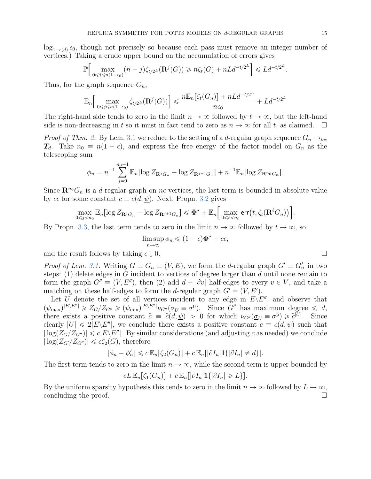$log_{1-\epsilon(d)} \epsilon_0$ , though not precisely so because each pass must remove an integer number of vertices.) Taking a crude upper bound on the accumulation of errors gives

$$
\mathbb{P}\Big[\max_{0\leq j\leq n(1-\epsilon_0)}(n-j)\zeta_{t/2^L}(\mathbf{R}^j(G))\geq n\zeta_t(G)+nLd^{-t/2^L}\Big]\leq Ld^{-t/2^L}
$$

Thus, for the graph sequence  $G_n$ ,

$$
\mathbb{E}_n\Big[\max_{0\leq j\leq n(1-\epsilon_0)}\zeta_{t/2^L}(\mathbf{R}^j(G))\Big]\leqslant \frac{n\mathbb{E}_n\big[\zeta_t(G_n)\big]+nLd^{-t/2^L}}{n\epsilon_0}+Ld^{-t/2^L}
$$

The right-hand side tends to zero in the limit  $n \to \infty$  followed by  $t \to \infty$ , but the left-hand side is non-decreasing in t so it must in fact tend to zero as  $n \to \infty$  for all t, as claimed.  $\square$ 

*Proof of Thm. [2.](#page-6-2)* By Lem. [3.1](#page-12-2) we reduce to the setting of a d-regular graph sequence  $G_n \rightarrow_{loc}$  $T_d$ . Take  $n_0 \equiv n(1 - \epsilon)$ , and express the free energy of the factor model on  $G_n$  as the telescoping sum

$$
\phi_n = n^{-1} \sum_{j=0}^{n_0-1} \mathbb{E}_n[\log Z_{\mathbf{R}^j G_n} - \log Z_{\mathbf{R}^{j+1} G_n}] + n^{-1} \mathbb{E}_n[\log Z_{\mathbf{R}^{n_0} G_n}].
$$

Since  $\mathbb{R}^{n_0}G_n$  is a d-regular graph on  $n\epsilon$  vertices, the last term is bounded in absolute value by  $ce$  for some constant  $c \equiv c(d, \psi)$ . Next, Propn. [3.2](#page-13-2) gives ı

$$
\max_{0\leq j
$$

By Propn. [3.3,](#page-13-3) the last term tends to zero in the limit  $n \to \infty$  followed by  $t \to \infty$ , so

$$
\limsup_{n\to\infty}\phi_n \leqslant (1-\epsilon)\mathbf{\Phi}^{\star} + c\epsilon,
$$

and the result follows by taking  $\epsilon \downarrow 0$ .

*Proof of Lem. [3.1.](#page-12-2)* Writing  $G \equiv G_n \equiv (V, E)$ , we form the d-regular graph  $G' \equiv G'_n$  in two steps: (1) delete edges in  $G$  incident to vertices of degree larger than  $d$  until none remain to form the graph  $G'' \equiv (V, E'')$ , then (2) add  $d - |\partial v|$  half-edges to every  $v \in V$ , and take a matching on these half-edges to form the *d*-regular graph  $G' = (V, E')$ .

Let U denote the set of all vertices incident to any edge in  $E\backslash E''$ , and observe that  $(\psi_{\text{max}})^{|E \setminus E''|} \geqslant Z_G/Z_{G''} \geqslant (\psi_{\text{min}})^{|E \setminus E''|} \nu_{G''}(\underline{\sigma}_U \equiv \sigma^{\text{p}}).$  Since  $G''$  has maximum degree  $\leqslant d$ , there exists a positive constant  $\tilde{c} = \tilde{c}(d, \psi) > 0$  for which  $\nu_{G''}(\underline{\sigma}_U \equiv \sigma^{\{p\}}) \geq \tilde{c}^{|\tilde{U}|}$ . Since clearly  $|U| \leq 2|E\setminus E''|$ , we conclude there exists a positive constant  $c \equiv c(d, \psi)$  such that  $|\log(Z_G/Z_{G''})| \leq c|E\setminus E''|$ . By similar considerations (and adjusting c as needed) we conclude  $|\log(Z_{G'}/Z_{G''})| \leq c\zeta_2(G)$ , therefore

$$
|\phi_n - \phi'_n| \leqslant c \mathbb{E}_n[\zeta_2(G_n)] + c \mathbb{E}_n[|\partial I_n| \mathbf{1}\{|\partial I_n| \neq d\}].
$$

The first term tends to zero in the limit  $n \to \infty$ , while the second term is upper bounded by

$$
cL \mathbb{E}_n[\zeta_1(G_n)] + c \mathbb{E}_n[|\partial I_n| \mathbf{1}\{|\partial I_n| \ge L\}].
$$

By the uniform sparsity hypothesis this tends to zero in the limit  $n \to \infty$  followed by  $L \to \infty$ , concluding the proof.

.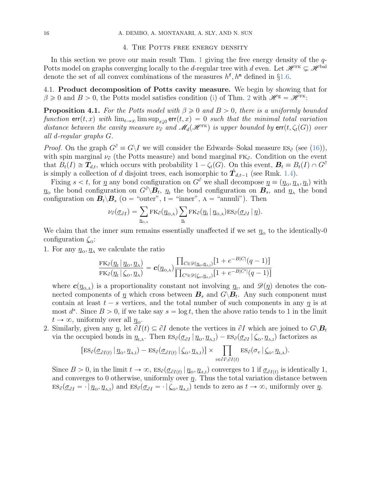#### 4. THE POTTS FREE ENERGY DENSITY

<span id="page-15-0"></span>In this section we prove our main result Thm. [1](#page-4-4) giving the free energy density of the  $q$ -Potts model on graphs converging locally to the d-regular tree with d even. Let  $\mathscr{H}^{\scriptscriptstyle\rm FK} \subsetneq \mathscr{H}^{\scriptscriptstyle\rm bal}$ denote the set of all convex combinations of the measures  $h^{\text{f}}, h^{\text{m}}$  defined in §[1.6.](#page-8-2)

4.1. Product decomposition of Potts cavity measure. We begin by showing that for  $\beta \geq 0$  and  $B > 0$ , the Potts model satisfies condition [\(i\)](#page-7-8) of Thm. [2](#page-6-2) with  $\mathscr{H}^g = \mathscr{H}^{FK}$ :

<span id="page-15-1"></span>**Proposition 4.1.** For the Potts model with  $\beta \geq 0$  and  $B > 0$ , there is a uniformly bounded function  $\mathsf{err}(t, x)$  with  $\lim_{t\to\infty}\limsup_{x\downarrow0} \mathsf{err}(t, x) = 0$  such that the minimal total variation distance between the cavity measure  $\nu_{\partial}$  and  $\mathcal{M}_d(\mathcal{H}^{\text{FK}})$  is upper bounded by  $\text{err}(t, \zeta_t(G))$  over all d-regular graphs G.

*Proof.* On the graph  $G^{\partial} \equiv G \backslash I$  we will consider the Edwards–Sokal measure  $ES_{\partial}$  (see [\(16\)](#page-11-0)), with spin marginal  $\nu_{\partial}$  (the Potts measure) and bond marginal  $FK_{\partial}$ . Condition on the event that  $B_t(I) \cong T_{d,t}$ , which occurs with probability  $1 - \zeta_t(G)$ . On this event,  $\mathbf{B}_t \equiv B_t(I) \cap G^{\sigma}$ is simply a collection of d disjoint trees, each isomorphic to  $\hat{\mathbf{T}}_{d,t-1}$  (see Rmk. [1.4\)](#page-4-8).

Fixing  $s < t$ , for  $\eta$  any bond configuration on  $G^{\partial}$  we shall decompose  $\eta \equiv (p_0, p_A, p_I)$  with  $p_0$  the bond configuration on  $G^{\partial \setminus B_t}$ ,  $p_1$  the bond configuration on  $B_s$ , and  $p_A$  the bond configuration on  $\mathbf{B}_t \setminus \mathbf{B}_s$  ( $o =$  "outer",  $I =$  "inner",  $A =$  "annuli"). Then

$$
\nu_{\partial}(\underline{\sigma}_{\partial I}) = \sum_{\underline{\eta}_{O,A}} \text{FK}_{\partial}(\underline{\eta}_{O,A}) \sum_{\underline{\eta}_{I}} \text{FK}_{\partial}(\underline{\eta}_{I} | \underline{\eta}_{O,A}) \text{ES}_{\partial}(\underline{\sigma}_{\partial I} | \underline{\eta}).
$$

We claim that the inner sum remains essentially unaffected if we set  $q_0$  to the identically-0 configuration  $\zeta_0$ :

1. For any  $q_0, q_A$  we calculate the ratio

$$
\frac{\mathrm{FK}_{\partial}( \underline{\eta}_1\,|\,\underline{\eta}_{\mathrm{O}}, \underline{\eta}_{\mathrm{A}})}{\mathrm{FK}_{\partial}( \underline{\eta}_1\,|\,\zeta_{\mathrm{O}}, \underline{\eta}_{\mathrm{A}})} = \mathbf{c}(\underline{\eta}_{\mathrm{O},\mathrm{A}}) \frac{\prod_{C \in \mathscr{D}( \underline{\eta}_{\mathrm{O}}, \underline{\eta}_{\mathrm{A},\mathrm{I}})}[1 + e^{-B|C|}(q-1)]}{\prod_{C' \in \mathscr{D}(\zeta_{\mathrm{O}}, \underline{\eta}_{\mathrm{A},\mathrm{I}})}[1 + e^{-B|C'|}(q-1)]}
$$

where  $c(p_{0,A})$  is a proportionality constant not involving  $q_{1}$ , and  $\mathscr{D}(p)$  denotes the connected components of  $\eta$  which cross between  $B_s$  and  $G \backslash B_t$ . Any such component must contain at least  $t - s$  vertices, and the total number of such components in any  $\eta$  is at most  $d^s$ . Since  $B > 0$ , if we take say  $s = \log t$ , then the above ratio tends to 1 in the limit  $t \to \infty$ , uniformly over all  $\eta_{\rm o}$ .

2. Similarly, given any  $\eta$ , let  $\partial I(t) \subseteq \partial I$  denote the vertices in  $\partial I$  which are joined to  $G \backslash B_t$ via the occupied bonds in  $\eta_{I,A}$ . Then  $ES_{\partial}(\underline{\sigma}_{\partial I} | \eta_o, \eta_{A,I}) - ES_{\partial}(\underline{\sigma}_{\partial I} | \zeta_o, \eta_{A,I})$  factorizes as<br>  $[ES_{\partial}(\underline{\sigma}_{\partial I(t)} | \eta_o, \eta_{A,I}) - ES_{\partial}(\underline{\sigma}_{\partial I(t)} | \zeta_o, \eta_{A,I})] \times \prod_{S_{\partial}(\sigma_v | \zeta_o, \eta_{I,A})}$ .

$$
\left[\mathrm{ES}_{\partial}(\underline{\sigma}_{\partial I(t)} | q_{\mathrm{o}}, \underline{\eta}_{\mathrm{A},\mathrm{I}}) - \mathrm{ES}_{\partial}(\underline{\sigma}_{\partial I(t)} | \zeta_{\mathrm{o}}, \underline{\eta}_{\mathrm{A},\mathrm{I}})\right] \times \prod_{v \in \partial I \setminus \partial I(t)} \mathrm{ES}_{\partial}(\sigma_v | \zeta_{\mathrm{o}}, \underline{\eta}_{\mathrm{I},\mathrm{A}}).
$$

Since  $B > 0$ , in the limit  $t \to \infty$ ,  $ES_{\partial}(\underline{\sigma}_{\partial I(t)} | p_{o}, \underline{\eta}_{A,I})$  converges to 1 if  $\underline{\sigma}_{\partial I(t)}$  is identically 1, and converges to 0 otherwise, uniformly over  $\eta$ . Thus the total variation distance between  $\text{ES}_{\partial}(\underline{\sigma}_{\partial I} = \cdot | \underline{\eta}_{0}, \underline{\eta}_{A,I})$  and  $\text{ES}_{\partial}(\underline{\sigma}_{\partial I} = \cdot | \underline{\zeta}_{0}, \underline{\eta}_{A,I})$  tends to zero as  $t \to \infty$ , uniformly over  $\underline{\eta}$ .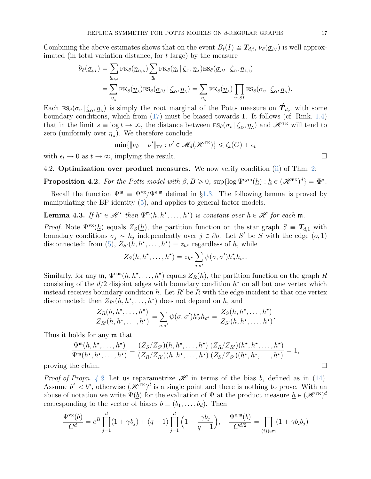Combining the above estimates shows that on the event  $B_t(I) \cong T_{d,t}$ ,  $\nu_{\partial}(\underline{\sigma}_{\partial I})$  is well approx-

imated (in total variation distance, for t large) by the measure  
\n
$$
\widetilde{\nu}_{\partial}(\underline{\sigma}_{\partial I}) = \sum_{\underline{\eta}_{0,\mathcal{A}}} \text{FK}_{\partial}(\underline{\eta}_{0,\mathcal{A}}) \sum_{\underline{\eta}_{i}} \text{FK}_{\partial}(\underline{\eta}_{i} | \zeta_{0}, \underline{\eta}_{\mathcal{A}}) \text{ES}_{\partial}(\underline{\sigma}_{\partial I} | \zeta_{0}, \underline{\eta}_{\mathcal{A},I})
$$
\n
$$
= \sum_{\underline{\eta}_{\mathcal{A}}} \text{FK}_{\partial}(\underline{\eta}_{\mathcal{A}}) \text{ES}_{\partial}(\underline{\sigma}_{\partial I} | \zeta_{0}, \underline{\eta}_{\mathcal{A}}) = \sum_{\underline{\eta}_{\mathcal{A}}} \text{FK}_{\partial}(\underline{\eta}_{\mathcal{A}}) \prod_{v \in \partial I} \text{ES}_{\partial}(\sigma_{v} | \zeta_{0}, \underline{\eta}_{\mathcal{A}}).
$$

Each  $ES_{\partial}(\sigma_v | \zeta_o, \eta_A)$  is simply the root marginal of the Potts measure on  $\hat{T}_{d,s}$  with some boundary conditions, which from [\(17\)](#page-11-1) must be biased towards 1. It follows (cf. Rmk. [1.4\)](#page-4-8) that in the limit  $s \equiv \log t \to \infty$ , the distance between  $ES_{\partial}(\sigma_v | \zeta_o, \eta_A)$  and  $\mathscr{H}^{\text{FK}}$  will tend to zero (uniformly over  $q_A$ ). We therefore conclude

$$
\min\{\|\nu_{\partial} - \nu'\|_{\text{TV}} : \nu' \in \mathcal{M}_d(\mathcal{H}^{\text{FK}})\} \leq \zeta_t(G) + \epsilon_t
$$

with  $\epsilon_t \to 0$  as  $t \to \infty$ , implying the result.

4.2. Optimization over product measures. We now verify condition [\(ii\)](#page-7-0) of Thm. [2:](#page-6-2)

<span id="page-16-0"></span>**Proposition 4.2.** For the Potts model with  $\beta, B \ge 0$ , sup $\{\log \Psi^{\text{sym}}(\underline{h}) : \underline{h} \in (\mathscr{H}^{\text{FK}})^d\} = \Phi^{\star}$ .

Recall the function  $\Psi^m = \Psi^{vx}/\Psi^{e,m}$  defined in §[1.3.](#page-4-2) The following lemma is proved by manipulating the BP identity [\(5\)](#page-4-0), and applies to general factor models.

<span id="page-16-1"></span>**Lemma 4.3.** If  $h^* \in \mathcal{H}^*$  then  $\Psi^{\mathfrak{m}}(h, h^*, \ldots, h^*)$  is constant over  $h \in \mathcal{H}$  for each  $\mathfrak{m}$ .

*Proof.* Note  $\Psi^{\text{vx}}(\underline{h})$  equals  $Z_{S}(\underline{h})$ , the partition function on the star graph  $S = T_{d,1}$  with boundary conditions  $\sigma_j \sim h_j$  independently over  $j \in \partial \mathfrak{o}$ . Let S' be S with the edge  $(\mathfrak{o}, 1)$ disconnected: from [\(5\)](#page-4-0),  $Z_{S'}(h, h^{\star}, \ldots, h^{\star}) = z_{h^{\star}}$  regardless of h, while

$$
Z_S(h, h^{\star}, \ldots, h^{\star}) = z_{h^{\star}} \sum_{\sigma, \sigma'} \psi(\sigma, \sigma') h^{\star}_{\sigma} h_{\sigma'}.
$$

Similarly, for any  $\mathfrak{m}, \Psi^{\mathsf{e},\mathfrak{m}}(h, h^{\star}, \ldots, h^{\star})$  equals  $Z_R(\underline{h})$ , the partition function on the graph R consisting of the  $d/2$  disjoint edges with boundary condition  $h^*$  on all but one vertex which instead receives boundary condition h. Let R' be R with the edge incident to that one vertex disconnected: then  $Z_{R'}(h, h^*, \ldots, h^*)$  does not depend on h, and

$$
\frac{Z_R(h, h^\star, \ldots, h^\star)}{Z_{R'}(h, h^\star, \ldots, h^\star)} = \sum_{\sigma, \sigma'} \psi(\sigma, \sigma') h^\star_\sigma h_{\sigma'} = \frac{Z_S(h, h^\star, \ldots, h^\star)}{Z_{S'}(h, h^\star, \ldots, h^\star)}.
$$

Thus it holds for any m that

$$
\frac{\Psi^{\mathfrak{m}}(h, h^{\star}, \ldots, h^{\star})}{\Psi^{\mathfrak{m}}(h^{\star}, h^{\star}, \ldots, h^{\star})} = \frac{(Z_{S}/Z_{S'}) (h, h^{\star}, \ldots, h^{\star})}{(Z_{R}/Z_{R'})(h, h^{\star}, \ldots, h^{\star})} \frac{(Z_{R}/Z_{R'})(h^{\star}, h^{\star}, \ldots, h^{\star})}{(Z_{S}/Z_{S'})(h^{\star}, h^{\star}, \ldots, h^{\star})} = 1,
$$
\nproving the claim.

*Proof of Propn. [4.2.](#page-16-0)* Let us reparametrize  $\mathscr H$  in terms of the bias b, defined as in [\(14\)](#page-11-2). Assume  $b^f$   $\lt b^m$ , otherwise  $({\mathscr H}^{\rm \tiny \rm FK})^d$  is a single point and there is nothing to prove. With an abuse of notation we write  $\Psi(\underline{b})$  for the evaluation of  $\Psi$  at the product measure  $\underline{h} \in (\mathscr{H}^{\text{FK}})^d$ corresponding to the vector of biases  $\underline{b} \equiv (b_1, \ldots, b_d)$ . Then

$$
\frac{\Psi^{\text{vx}}(\underline{b})}{C^d} = e^B \prod_{j=1}^d (1 + \gamma b_j) + (q - 1) \prod_{j=1}^d \left(1 - \frac{\gamma b_j}{q - 1}\right), \quad \frac{\Psi^{\text{e}, \text{m}}(\underline{b})}{C^{d/2}} = \prod_{(ij) \in \mathfrak{m}} (1 + \gamma b_i b_j)
$$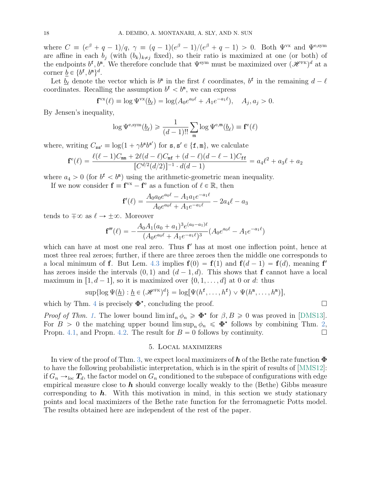where  $C \equiv (e^{\beta} + q - 1)/q$ ,  $\gamma \equiv (q - 1)(e^{\beta} - 1)/(e^{\beta} + q - 1) > 0$ . Both  $\Psi^{vx}$  and  $\Psi^{e, sym}$ are affine in each  $b_i$  (with  $(b_k)_{k\neq i}$  fixed), so their ratio is maximized at one (or both) of the endpoints  $b^f, b^m$ . We therefore conclude that  $\Psi^{\text{sym}}$  must be maximized over  $(\mathscr{H}^{\text{FK}})^d$  at a corner  $\underline{b} \in \{b^{\texttt{f}}, b^{\texttt{m}}\}^d$ .

Let  $\underline{b}_{\ell}$  denote the vector which is  $b^{\text{m}}$  in the first  $\ell$  coordinates,  $b^{\text{f}}$  in the remaining  $d - \ell$ coordinates. Recalling the assumption  $b^f < b^m$ , we can express

$$
\mathbf{f}^{\text{vx}}(\ell) \equiv \log \Psi^{\text{vx}}(\underline{b}_{\ell}) = \log (A_0 e^{a_0 \ell} + A_1 e^{-a_1 \ell}), \quad A_j, a_j > 0.
$$

By Jensen's inequality,

$$
\log \Psi^{\text{e,sym}}(\underline{b}_{\ell}) \geq \frac{1}{(d-1)!!} \sum_{\mathfrak{m}} \log \Psi^{\text{e,m}}(\underline{b}_{\ell}) \equiv \mathbf{f}^{\text{e}}(\ell)
$$

where, writing  $C_{ss'} \equiv \log(1 + \gamma b^s b^{s'})$  for  $s, s' \in \{f, m\}$ , we calculate

$$
\mathbf{f}^e(\ell) = \frac{\ell(\ell-1)C_{\mathtt{mm}} + 2\ell(d-\ell)C_{\mathtt{mf}} + (d-\ell)(d-\ell-1)C_{\mathtt{ff}}}{[C^{d/2}(d/2)]^{-1} \cdot d(d-1)} = a_4\ell^2 + a_3\ell + a_2
$$

where  $a_4 > 0$  (for  $b^f < b^m$ ) using the arithmetic-geometric mean inequality.

If we now consider  $\mathbf{f} \equiv \mathbf{f}^{vx} - \mathbf{f}^e$  as a function of  $\ell \in \mathbb{R}$ , then

$$
\mathbf{f}'(\ell) = \frac{A_0 a_0 e^{a_0 \ell} - A_1 a_1 e^{-a_1 \ell}}{A_0 e^{a_0 \ell} + A_1 e^{-a_1 \ell}} - 2a_4 \ell - a_3
$$

tends to  $\mp \infty$  as  $\ell \rightarrow \pm \infty$ . Moreover

$$
\mathbf{f}'''(\ell) = -\frac{A_0 A_1 (a_0 + a_1)^3 e^{(a_0 - a_1)\ell}}{(A_0 e^{a_0 \ell} + A_1 e^{-a_1 \ell})^3} (A_0 e^{a_0 \ell} - A_1 e^{-a_1 \ell})
$$

which can have at most one real zero. Thus  $f'$  has at most one inflection point, hence at most three real zeroes; further, if there are three zeroes then the middle one corresponds to a local minimum of f. But Lem. [4.3](#page-16-1) implies  $f(0) = f(1)$  and  $f(d-1) = f(d)$ , meaning f' has zeroes inside the intervals  $(0, 1)$  and  $(d - 1, d)$ . This shows that f cannot have a local maximum in [1, d – 1], so it is maximized over  $\{0, 1, \ldots, d\}$  at 0 or d: thus

$$
\sup\{\log \Psi(\underline{h}): \underline{h} \in (\mathscr{H}^{\scriptscriptstyle\mathsf{FK}})^d\} = \log[\Psi(h^{\mathtt{f}}, \ldots, h^{\mathtt{f}}) \vee \Psi(h^{\mathtt{m}}, \ldots, h^{\mathtt{m}})],
$$

which by Thm. [4](#page-8-1) is precisely  $\Phi^*$ , concluding the proof.

*Proof of Thm. [1.](#page-4-4)* The lower bound  $\liminf_n \phi_n \geq \Phi^*$  for  $\beta, B \geq 0$  was proved in [\[DMS13\]](#page-22-8). For  $B > 0$  the matching upper bound  $\limsup_n \phi_n \leq \Phi^*$  follows by combining Thm. [2,](#page-6-2) Propn. [4.1,](#page-15-1) and Propn. [4.2.](#page-16-0) The result for  $B = 0$  follows by continuity.

#### 5. Local maximizers

<span id="page-17-0"></span>In view of the proof of Thm. [3,](#page-7-3) we expect local maximizers of h of the Bethe rate function  $\Phi$ to have the following probabilistic interpretation, which is in the spirit of results of [\[MMS12\]](#page-22-9): if  $G_n \rightarrow_{loc} T_d$ , the factor model on  $G_n$  conditioned to the subspace of configurations with edge empirical measure close to  $h$  should converge locally weakly to the (Bethe) Gibbs measure corresponding to  $h$ . With this motivation in mind, in this section we study stationary points and local maximizers of the Bethe rate function for the ferromagnetic Potts model. The results obtained here are independent of the rest of the paper.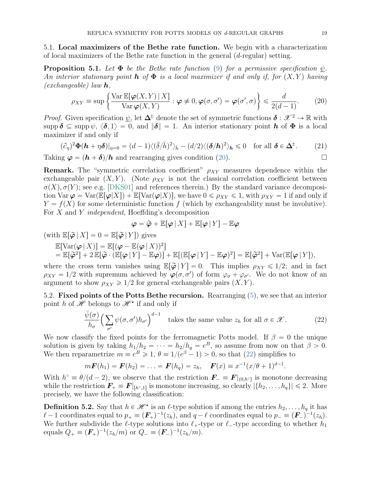5.1. Local maximizers of the Bethe rate function. We begin with a characterization of local maximizers of the Bethe rate function in the general  $(d$ -regular) setting.

**Proposition 5.1.** Let  $\Phi$  be the Bethe rate function [\(9\)](#page-7-1) for a permissive specification  $\psi$ . An interior stationary point **h** of  $\Phi$  is a local maximizer if and only if, for  $(X, Y)$  having \*

<span id="page-18-0"></span>
$$
\text{(exchangeable)}\ law\ \mathbf{h},\\
\rho_{XY} \equiv \sup \left\{ \frac{\text{Var}\,\mathbb{E}[\boldsymbol{\varphi}(X,Y) \,|\, X]}{\text{Var}\,\boldsymbol{\varphi}(X,Y)} : \boldsymbol{\varphi} \neq 0, \boldsymbol{\varphi}(\sigma, \sigma') = \boldsymbol{\varphi}(\sigma', \sigma) \right\} \leq \frac{d}{2(d-1)}.\tag{20}
$$

*Proof.* Given specification  $\psi$ , let  $\Delta^{\pm}$  denote the set of symmetric functions  $\delta : \mathcal{X}^2 \to \mathbb{R}$  with supp  $\delta \subseteq \text{supp } \psi$ ,  $\langle \delta, 1 \rangle = 0$ , and  $\|\delta\| = 1$ . An interior stationary point h of  $\Phi$  is a local maximizer if and only if

<span id="page-18-2"></span>
$$
(\partial_{\eta})^2 \Phi(\mathbf{h} + \eta \delta)|_{\eta=0} = (d-1) \langle (\bar{\delta}/\bar{h})^2 \rangle_{\bar{h}} - (d/2) \langle (\delta/\mathbf{h})^2 \rangle_{\mathbf{h}} \le 0 \quad \text{for all } \delta \in \Delta^{\pm}.
$$
 (21)

Taking  $\varphi = (h + \delta)/h$  and rearranging gives condition [\(20\)](#page-18-0).

**Remark.** The "symmetric correlation coefficient"  $\rho_{XY}$  measures dependence within the exchangeable pair  $(X, Y)$ . (Note  $\rho_{XY}$  is not the classical correlation coefficient between  $\sigma(X), \sigma(Y)$ ; see e.g. [\[DKS01\]](#page-21-13) and references therein.) By the standard variance decomposition Var  $\varphi = \text{Var}(\mathbb{E}[\varphi|X]) + \mathbb{E}[\text{Var}(\varphi|X)],$  we have  $0 \le \rho_{XY} \le 1$ , with  $\rho_{XY} = 1$  if and only if  $Y = f(X)$  for some deterministic function f (which by exchangeability must be involutive). For X and Y independent, Hoeffding's decomposition

$$
\boldsymbol{\varphi} = \widetilde{\boldsymbol{\varphi}} + \mathbb{E}[\boldsymbol{\varphi} \, | \, X] + \mathbb{E}[\boldsymbol{\varphi} \, | \, Y] - \mathbb{E}\boldsymbol{\varphi}
$$

(with  $\mathbb{E}[\widetilde{\varphi} | X] = 0 = \mathbb{E}[\widetilde{\varphi} | Y]$ ) gives

$$
\mathbb{E}[\text{Var}(\varphi \mid X)] = \mathbb{E}[(\varphi - \mathbb{E}(\varphi \mid X))^2]
$$
  
=  $\mathbb{E}[\widetilde{\varphi}^2] + 2 \mathbb{E}[\widetilde{\varphi} \cdot (\mathbb{E}[\varphi \mid Y] - \mathbb{E}\varphi)] + \mathbb{E}[(\mathbb{E}[\varphi \mid Y] - \mathbb{E}\varphi)^2] = \mathbb{E}[\widetilde{\varphi}^2] + \text{Var}(\mathbb{E}[\varphi \mid Y]),$ 

where the cross term vanishes using  $\mathbb{E}[\widetilde{\varphi}|Y] = 0$ . This implies  $\rho_{XY} \leq 1/2$ ; and in fact  $\rho_{XY} = 1/2$  with supremum achieved by  $\varphi(\sigma, \sigma')$  of form  $\varphi_{\sigma} + \varphi_{\sigma'}$ . We do not know of an argument to show  $\rho_{XY} \geq 1/2$  for general exchangeable pairs  $(X, Y)$ .

5.2. Fixed points of the Potts Bethe recursion. Rearranging [\(5\)](#page-4-0), we see that an interior point h of  $\mathscr{H}$  belongs to  $\mathscr{H}^{\star}$  if and only if

<span id="page-18-1"></span>
$$
\frac{\bar{\psi}(\sigma)}{h_{\sigma}} \Big(\sum_{\sigma'} \psi(\sigma, \sigma') h_{\sigma'}\Big)^{d-1} \quad \text{takes the same value } z_h \text{ for all } \sigma \in \mathcal{X}. \tag{22}
$$

We now classify the fixed points for the ferromagnetic Potts model. If  $\beta = 0$  the unique solution is given by taking  $h_1/h_2 = \cdots = h_2/h_q = e^B$ , so assume from now on that  $\beta > 0$ . We then reparametrize  $m \equiv e^B \geq 1, \theta \equiv 1/(e^{\beta}-1) > 0$ , so that [\(22\)](#page-18-1) simplifies to

$$
m\bm{F}(h_1)=\bm{F}(h_2)=\ldots=\bm{F}(h_q)=z_h, \quad \bm{F}(x)\equiv x^{-1}(x/\theta+1)^{d-1}.
$$

With  $h^{\circ} \equiv \theta/(d-2)$ , we observe that the restriction  $\mathbf{F}_{-} \equiv \mathbf{F}|_{(0,h^{\circ})}$  is monotone decreasing while the restriction  $\mathbf{F}_{+} \equiv \mathbf{F}|_{[h^{\circ},1]}$  is monotone increasing, so clearly  $|\{h_2,\ldots,h_q\}| \leq 2$ . More precisely, we have the following classification:

**Definition 5.2.** Say that  $h \in \mathcal{H}^*$  is an  $\ell$ -type solution if among the entries  $h_2, \ldots, h_q$  it has  $\ell - 1$  coordinates equal to  $p_+ \equiv (\mathbf{F}_+)^{-1}(z_h)$ , and  $q - \ell$  coordinates equal to  $p_- \equiv (\mathbf{F}_-)^{-1}(z_h)$ . We further subdivide the  $\ell$ -type solutions into  $\ell_+$ -type or  $\ell_-$ -type according to whether  $h_1$ equals  $Q_+ \equiv (\mathbf{F}_+)^{-1} (z_h/m)$  or  $Q_- \equiv (\mathbf{F}_-)^{-1} (z_h/m)$ .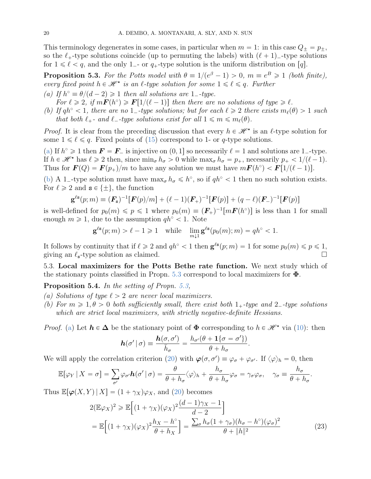This terminology degenerates in some cases, in particular when  $m = 1$ : in this case  $Q_{\pm} = p_{\pm}$ , so the  $\ell_+$ -type solutions coincide (up to permuting the labels) with  $(\ell + 1)$ -type solutions for  $1 \leq \ell \leq q$ , and the only 1<sub>-</sub> or  $q_+$ -type solution is the uniform distribution on [q].

<span id="page-19-0"></span>**Proposition 5.3.** For the Potts model with  $\theta \equiv 1/(e^{\beta} - 1) > 0$ ,  $m \equiv e^B \ge 1$  (both finite), every fixed point  $h \in \mathcal{H}^*$  is an  $\ell$ -type solution for some  $1 \leq \ell \leq q$ . Further

- <span id="page-19-2"></span>(a) If  $h^{\circ} \equiv \theta/(d-2) \geq 1$  then all solutions are  $1$ -type.
- For  $\ell \geqslant 2$ , if  $m\mathbf{F}(h^{\circ}) \geqslant \mathbf{F}[1/(\ell-1)]$  then there are no solutions of type  $\geqslant \ell$ .
- <span id="page-19-3"></span>(b) If  $qh^{\circ} < 1$ , there are no 1\_-type solutions; but for each  $\ell \geq 2$  there exists  $m_{\ell}(\theta) > 1$  such that both  $\ell_{+}$ - and  $\ell_{-}$ -type solutions exist for all  $1 \leq m \leq m_{\ell}(\theta)$ .

*Proof.* It is clear from the preceding discussion that every  $h \in \mathcal{H}^*$  is an  $\ell$ -type solution for some  $1 \leq \ell \leq q$ . Fixed points of [\(15\)](#page-11-3) correspond to 1- or q-type solutions.

[\(a\)](#page-19-2) If  $h^{\circ} \ge 1$  then  $\mathbf{F} = \mathbf{F}_{-}$  is injective on  $(0, 1]$  so necessarily  $\ell = 1$  and solutions are 1-type. If  $h \in \mathcal{H}^*$  has  $\ell \geq 2$  then, since  $\min_{\sigma} h_{\sigma} > 0$  while  $\max_{\sigma} h_{\sigma} = p_+$ , necessarily  $p_+ < 1/(\ell - 1)$ . Thus for  $\boldsymbol{F}(Q) = \boldsymbol{F}(p_+)/m$  to have any solution we must have  $m\boldsymbol{F}(h^{\circ}) < \boldsymbol{F}[1/(\ell-1)].$ 

[\(b\)](#page-19-3) A 1-type solution must have  $\max_{\sigma} h_{\sigma} \leq h^{\circ}$ , so if  $q h^{\circ} < 1$  then no such solution exists. For  $\ell \geq 2$  and  $s \in {\pm}$ , the function

$$
\mathbf{g}^{\ell s}(p;m) \equiv (\mathbf{F}_s)^{-1} [\mathbf{F}(p)/m] + (\ell - 1)(\mathbf{F}_+)^{-1} [\mathbf{F}(p)] + (q - \ell)(\mathbf{F}_-)^{-1} [\mathbf{F}(p)]
$$

is well-defined for  $p_0(m) \leqslant p \leqslant 1$  where  $p_0(m) \equiv (F_+)^{-1}[mF(h^{\circ})]$  is less than 1 for small enough  $m \ge 1$ , due to the assumption  $q h^{\circ} < 1$ . Note

$$
\mathbf{g}^{\ell \mathbf{s}}(p;m) > \ell - 1 \geq 1 \quad \text{while} \quad \lim_{m \downarrow 1} \mathbf{g}^{\ell \mathbf{s}}(p_0(m);m) = qh^{\circ} < 1.
$$

It follows by continuity that if  $\ell \geq 2$  and  $q h^{\circ} < 1$  then  $\mathbf{g}^{\ell s}(p; m) = 1$  for some  $p_0(m) \leqslant p \leqslant 1$ , giving an  $\ell_{\rm s}$ -type solution as claimed.

5.3. Local maximizers for the Potts Bethe rate function. We next study which of the stationary points classified in Propn. [5.3](#page-19-0) correspond to local maximizers for  $\Phi$ .

<span id="page-19-1"></span>Proposition 5.4. In the setting of Propn. [5.3,](#page-19-0)

- <span id="page-19-4"></span>(a) Solutions of type  $\ell > 2$  are never local maximizers.
- <span id="page-19-6"></span>(b) For  $m \geqslant 1, \theta > 0$  both sufficiently small, there exist both  $1_+$ -type and  $2_-$ -type solutions which are strict local maximizers, with strictly negative-definite Hessians.

*Proof.* [\(a\)](#page-19-4) Let  $h \in \Delta$  be the stationary point of  $\Phi$  corresponding to  $h \in \mathcal{H}^*$  via [\(10\)](#page-7-4): then

<span id="page-19-5"></span>
$$
\boldsymbol{h}(\sigma' \mid \sigma) \equiv \frac{\boldsymbol{h}(\sigma, \sigma')}{\bar{h}_{\sigma}} = \frac{h_{\sigma'}(\theta + 1\{\sigma = \sigma'\})}{\theta + h_{\sigma}}.
$$

We will apply the correlation criterion [\(20\)](#page-18-0) with  $\varphi(\sigma, \sigma') \equiv \varphi_{\sigma} + \varphi_{\sigma'}$ . If  $\langle \varphi \rangle_h = 0$ , then

$$
\mathbb{E}[\varphi_Y \,|\, X = \sigma] = \sum_{\sigma'} \varphi_{\sigma'} \mathbf{h}(\sigma' \,|\, \sigma) = \frac{\theta}{\theta + h_{\sigma}} \langle \varphi \rangle_h + \frac{h_{\sigma}}{\theta + h_{\sigma}} \varphi_{\sigma} = \gamma_{\sigma} \varphi_{\sigma}, \quad \gamma_{\sigma} \equiv \frac{h_{\sigma}}{\theta + h_{\sigma}}.
$$

Thus  $\mathbb{E}[\varphi(X, Y) | X] = (1 + \gamma_X)\varphi_X$ , and [\(20\)](#page-18-0) becomes .<br>...

$$
2(\mathbb{E}\varphi_X)^2 \ge \mathbb{E}\Big[(1+\gamma_X)(\varphi_X)^2\frac{(d-1)\gamma_X-1}{d-2}\Big]
$$
  
=  $\mathbb{E}\Big[(1+\gamma_X)(\varphi_X)^2\frac{h_X-h^{\circ}}{\theta+h_X}\Big] = \frac{\sum_{\sigma}h_{\sigma}(1+\gamma_{\sigma})(h_{\sigma}-h^{\circ})(\varphi_{\sigma})^2}{\theta+\|h\|^2}$  (23)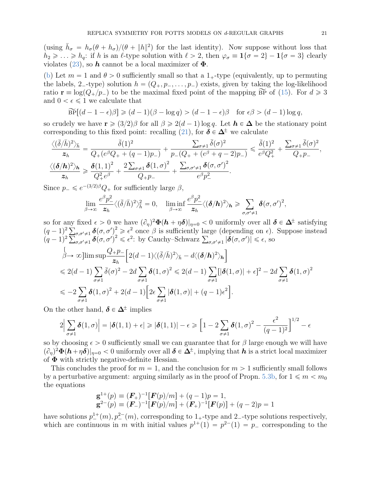(using  $\bar{h}_{\sigma} = h_{\sigma}(\theta + h_{\sigma})/(\theta + ||h||^2)$  for the last identity). Now suppose without loss that  $h_2 \geq \ldots \geq h_q$ : if h is an  $\ell$ -type solution with  $\ell > 2$ , then  $\varphi_{\sigma} \equiv 1 \{\sigma = 2\} - 1 \{\sigma = 3\}$  clearly violates [\(23\)](#page-19-5), so h cannot be a local maximizer of  $\Phi$ .

[\(b\)](#page-19-6) Let  $m = 1$  and  $\theta > 0$  sufficiently small so that a 1<sub>+</sub>-type (equivalently, up to permuting the labels, 2<sup>-type</sup>) solution  $h = (Q_+, p_-, \ldots, p_-)$  exists, given by taking the log-likelihood ratio  $\mathbf{r} \equiv \log(Q_{+}/p_{-})$  to be the maximal fixed point of the mapping  $\widetilde{\text{BP}}$  of [\(15\)](#page-11-3). For  $d \geq 3$ and  $0 < \epsilon \leq 1$  we calculate that

$$
\widetilde{\mathrm{BP}}[(d-1-\epsilon)\beta] \geq (d-1)(\beta - \log q) > (d-1-\epsilon)\beta \quad \text{for } \epsilon\beta > (d-1)\log q,
$$

so crudely we have  $\mathbf{r} \geqslant (3/2)\beta$  for all  $\beta \geqslant 2(d-1)\log q$ . Let  $\mathbf{h} \in \Delta$  be the stationary point corresponding to this fixed point: recalling [\(21\)](#page-18-2), for  $\delta \in \Delta^{\pm}$  we calculate

$$
\frac{\langle(\bar{\delta}/\bar{h})^2\rangle_{\bar{h}}}{z_h} = \frac{\bar{\delta}(1)^2}{Q_+(e^{\beta}Q_+ + (q-1)p_-)} + \frac{\sum_{\sigma \neq 1} \bar{\delta}(\sigma)^2}{p_-(Q_+ + (e^{\beta} + q - 2)p_-)} \leq \frac{\bar{\delta}(1)^2}{e^{\beta}Q_+^2} + \frac{\sum_{\sigma \neq 1} \bar{\delta}(\sigma)^2}{Q_+p_-},
$$
  

$$
\frac{\langle(\delta/h)^2\rangle_h}{z_h} \geq \frac{\delta(1,1)^2}{Q_+^2e^{\beta}} + \frac{2\sum_{\sigma \neq 1} \delta(1,\sigma)^2}{Q_+p_-} + \frac{\sum_{\sigma,\sigma' \neq 1} \delta(\sigma,\sigma')^2}{e^{\beta}p_-^2}.
$$

Since  $p_- \leqslant e^{-(3/2)\beta}Q_+$  for sufficiently large  $\beta$ ,

$$
\lim_{\beta\to\infty}\frac{e^{\beta}p_-^2}{z_h}\langle(\bar{\delta}/\bar{h})^2\rangle_{\bar{h}}^2=0,\quad \liminf_{\beta\to\infty}\frac{e^{\beta}p_-^2}{z_h}\langle(\delta/h)^2\rangle_{\bm{h}}\geqslant \sum_{\sigma,\sigma'\neq 1}\delta(\sigma,\sigma')^2,
$$

so for any fixed  $\epsilon > 0$  we have  $(\partial_{\eta})^2 \Phi(h + \eta \delta)|_{\eta=0} < 0$  uniformly over all  $\delta \in \Delta^{\pm}$  satisfying so for any<br> $(q-1)^2 \sum$  $\sigma, \sigma \neq 1$   $\delta(\sigma, \sigma')^2 \geq \epsilon^2$  once  $\beta$  is sufficiently large (depending on  $\epsilon$ ). Suppose instead  $(q-1)^2 \sum$ <br> $(q-1)^2 \sum$  $\sigma, \sigma' \neq 1$   $\delta(\sigma, \sigma')^2 \geq \epsilon^2$  once  $\beta$  is sufficiently large (depending on  $\epsilon$ ).<br>  $\sigma, \sigma' \neq 1$   $\delta(\sigma, \sigma')^2 \leq \epsilon^2$ : by Cauchy–Schwarz  $\sum_{\sigma, \sigma' \neq 1} |\delta(\sigma, \sigma')| \leq \epsilon$ , so  $\overline{u}$   $\overline{u}$   $\overline{u}$   $\overline{u}$   $\overline{u}$   $\overline{u}$   $\overline{u}$   $\overline{u}$   $\overline{u}$   $\overline{u}$   $\overline{u}$   $\overline{u}$   $\overline{u}$   $\overline{u}$   $\overline{u}$   $\overline{u}$   $\overline{u}$   $\overline{u}$   $\overline{u}$   $\overline{u}$   $\overline{u}$   $\overline{u}$   $\overline{u}$   $\overline{u}$   $\overline{$ 

$$
\begin{split}\n&\beta \to \infty \text{lim sup}\frac{Q_+ p_-}{z_h} \Big[ 2(d-1) \langle (\bar{\delta}/\bar{h})^2 \rangle_{\bar{h}} - d \langle (\delta/h)^2 \rangle_{\bar{h}} \Big] \\
&\leq 2(d-1) \sum_{\sigma \neq 1} \bar{\delta}(\sigma)^2 - 2d \sum_{\sigma \neq 1} \delta(1, \sigma)^2 \leq 2(d-1) \sum_{\sigma \neq 1} [|\delta(1, \sigma)| + \epsilon]^2 - 2d \sum_{\sigma \neq 1} \delta(1, \sigma)^2 \\
&\leq -2 \sum_{\sigma \neq 1} \delta(1, \sigma)^2 + 2(d-1) \Big[ 2\epsilon \sum_{\sigma \neq 1} |\delta(1, \sigma)| + (q-1)\epsilon^2 \Big].\n\end{split}
$$

On the other hand,  $\delta \in \Delta^{\pm}$  implies

$$
2\Big|\sum_{\sigma\neq 1}\boldsymbol{\delta}(1,\sigma)\Big| = |\boldsymbol{\delta}(1,1)+\epsilon| \geq |\boldsymbol{\delta}(1,1)| - \epsilon \geq \Big[1-2\sum_{\sigma\neq 1}\boldsymbol{\delta}(1,\sigma)^2 - \frac{\epsilon^2}{(q-1)^2}\Big]^{1/2} - \epsilon
$$

so by choosing  $\epsilon > 0$  sufficiently small we can guarantee that for  $\beta$  large enough we will have  $(\partial_\eta)^2\Phi(h+\eta\delta)|_{\eta=0} < 0$  uniformly over all  $\delta \in \Delta^{\pm}$ , implying that  $h$  is a strict local maximizer of  $\Phi$  with strictly negative-definite Hessian.

This concludes the proof for  $m = 1$ , and the conclusion for  $m > 1$  sufficiently small follows by a perturbative argument: arguing similarly as in the proof of Propn. [5.3](#page-19-0)[b,](#page-19-3) for  $1 \leq m \leq m_0$ the equations

$$
\mathbf{g}^{1+}(p) \equiv (\mathbf{F}_{+})^{-1} [\mathbf{F}(p)/m] + (q-1)p = 1,\n\mathbf{g}^{2-}(p) \equiv (\mathbf{F}_{-})^{-1} [\mathbf{F}(p)/m] + (\mathbf{F}_{+})^{-1} [\mathbf{F}(p)] + (q-2)p = 1
$$

have solutions  $p_{-}^{1+}(m), p_{-}^{2-}(m)$ , corresponding to 1<sub>+</sub>-type and 2<sub>-</sub>-type solutions respectively, which are continuous in m with initial values  $p^{1+}(1) = p^{2-}(1) = p$  corresponding to the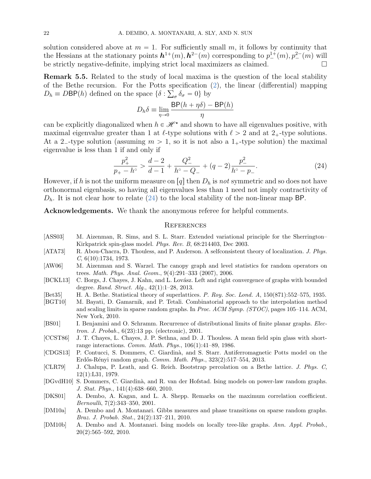solution considered above at  $m = 1$ . For sufficiently small m, it follows by continuity that the Hessians at the stationary points  $h^{1+}(m), h^{2-}(m)$  corresponding to  $p^{1+}(m), p^{2-}(m)$  will be strictly negative-definite, implying strict local maximizers as claimed.  $\square$ 

Remark 5.5. Related to the study of local maxima is the question of the local stability of the Bethe recursion. For the Potts specification [\(2\)](#page-0-1), the linear (differential) mapping ř  $D_h \equiv D\mathsf{BP}(h)$  defined on the space  $\{\delta : \sum_{\sigma} \delta_{\sigma} = 0\}$  by

$$
D_h \delta \equiv \lim_{\eta \to 0} \frac{\textsf{BP}(h + \eta \delta) - \textsf{BP}(h)}{\eta}
$$

can be explicitly diagonalized when  $h \in \mathcal{H}^*$  and shown to have all eigenvalues positive, with maximal eigenvalue greater than 1 at  $\ell$ -type solutions with  $\ell > 2$  and at 2<sub>+</sub>-type solutions. At a 2<sub>-type</sub> solution (assuming  $m > 1$ , so it is not also a 1<sub>+</sub>-type solution) the maximal eigenvalue is less than 1 if and only if

<span id="page-21-14"></span>
$$
\frac{p_+^2}{p_+ - h^\circ} > \frac{d-2}{d-1} + \frac{Q_-^2}{h^\circ - Q_-} + (q-2)\frac{p_-^2}{h^\circ - p_-}.\tag{24}
$$

However, if h is not the uniform measure on  $|q|$  then  $D_h$  is not symmetric and so does not have orthonormal eigenbasis, so having all eigenvalues less than 1 need not imply contractivity of  $D_h$ . It is not clear how to relate [\(24\)](#page-21-14) to the local stability of the non-linear map BP.

Acknowledgements. We thank the anonymous referee for helpful comments.

#### **REFERENCES**

- <span id="page-21-11"></span>[ASS03] M. Aizenman, R. Sims, and S. L. Starr. Extended variational principle for the Sherrington– Kirkpatrick spin-glass model. Phys. Rev. B, 68:214403, Dec 2003.
- <span id="page-21-2"></span>[ATA73] R. Abou-Chacra, D. Thouless, and P. Anderson. A selfconsistent theory of localization. J. Phys. C, 6(10):1734, 1973.
- <span id="page-21-5"></span>[AW06] M. Aizenman and S. Warzel. The canopy graph and level statistics for random operators on trees. Math. Phys. Anal. Geom., 9(4):291–333 (2007), 2006.
- <span id="page-21-8"></span>[BCKL13] C. Borgs, J. Chayes, J. Kahn, and L. Lovász. Left and right convergence of graphs with bounded degree. Rand. Struct. Alg., 42(1):1–28, 2013.
- <span id="page-21-1"></span>[Bet35] H. A. Bethe. Statistical theory of superlattices. P. Roy. Soc. Lond. A, 150(871):552–575, 1935.
- <span id="page-21-9"></span>[BGT10] M. Bayati, D. Gamarnik, and P. Tetali. Combinatorial approach to the interpolation method and scaling limits in sparse random graphs. In Proc. ACM Symp. (STOC), pages 105–114. ACM, New York, 2010.
- <span id="page-21-0"></span>[BS01] I. Benjamini and O. Schramm. Recurrence of distributional limits of finite planar graphs. Electron. J. Probab., 6(23):13 pp. (electronic), 2001.
- <span id="page-21-4"></span>[CCST86] J. T. Chayes, L. Chayes, J. P. Sethna, and D. J. Thouless. A mean field spin glass with shortrange interactions. Comm. Math. Phys., 106(1):41–89, 1986.
- <span id="page-21-12"></span>[CDGS13] P. Contucci, S. Dommers, C. Giardin`a, and S. Starr. Antiferromagnetic Potts model on the Erdős-Rényi random graph. Comm. Math. Phys., 323(2):517–554, 2013.
- <span id="page-21-3"></span>[CLR79] J. Chalupa, P. Leath, and G. Reich. Bootstrap percolation on a Bethe lattice. J. Phys. C, 12(1):L31, 1979.
- <span id="page-21-7"></span>[DGvdH10] S. Dommers, C. Giardin`a, and R. van der Hofstad. Ising models on power-law random graphs. J. Stat. Phys., 141(4):638–660, 2010.
- <span id="page-21-13"></span>[DKS01] A. Dembo, A. Kagan, and L. A. Shepp. Remarks on the maximum correlation coefficient. Bernoulli, 7(2):343–350, 2001.
- <span id="page-21-10"></span>[DM10a] A. Dembo and A. Montanari. Gibbs measures and phase transitions on sparse random graphs. Braz. J. Probab. Stat., 24(2):137–211, 2010.
- <span id="page-21-6"></span>[DM10b] A. Dembo and A. Montanari. Ising models on locally tree-like graphs. Ann. Appl. Probab., 20(2):565–592, 2010.